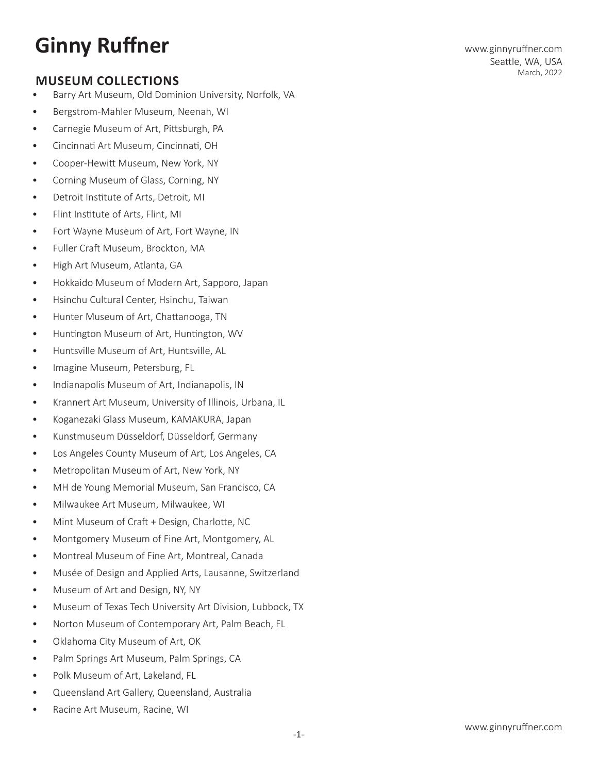# **Ginny Ruffner**

## **MUSEUM COLLECTIONS**

- Barry Art Museum, Old Dominion University, Norfolk, VA
- Bergstrom-Mahler Museum, Neenah, WI
- Carnegie Museum of Art, Pittsburgh, PA
- Cincinnati Art Museum, Cincinnati, OH
- Cooper-Hewitt Museum, New York, NY
- Corning Museum of Glass, Corning, NY
- Detroit Institute of Arts, Detroit, MI
- Flint Institute of Arts, Flint, MI
- Fort Wayne Museum of Art, Fort Wayne, IN
- Fuller Craft Museum, Brockton, MA
- High Art Museum, Atlanta, GA
- Hokkaido Museum of Modern Art, Sapporo, Japan
- Hsinchu Cultural Center, Hsinchu, Taiwan
- Hunter Museum of Art, Chattanooga, TN
- Huntington Museum of Art, Huntington, WV
- Huntsville Museum of Art, Huntsville, AL
- Imagine Museum, Petersburg, FL
- Indianapolis Museum of Art, Indianapolis, IN
- Krannert Art Museum, University of Illinois, Urbana, IL
- Koganezaki Glass Museum, KAMAKURA, Japan
- Kunstmuseum Düsseldorf, Düsseldorf, Germany
- Los Angeles County Museum of Art, Los Angeles, CA
- Metropolitan Museum of Art, New York, NY
- MH de Young Memorial Museum, San Francisco, CA
- Milwaukee Art Museum, Milwaukee, WI
- Mint Museum of Craft + Design, Charlotte, NC
- Montgomery Museum of Fine Art, Montgomery, AL
- Montreal Museum of Fine Art, Montreal, Canada
- Musée of Design and Applied Arts, Lausanne, Switzerland
- Museum of Art and Design, NY, NY
- Museum of Texas Tech University Art Division, Lubbock, TX
- Norton Museum of Contemporary Art, Palm Beach, FL
- Oklahoma City Museum of Art, OK
- Palm Springs Art Museum, Palm Springs, CA
- Polk Museum of Art, Lakeland, FL
- Queensland Art Gallery, Queensland, Australia
- Racine Art Museum, Racine, WI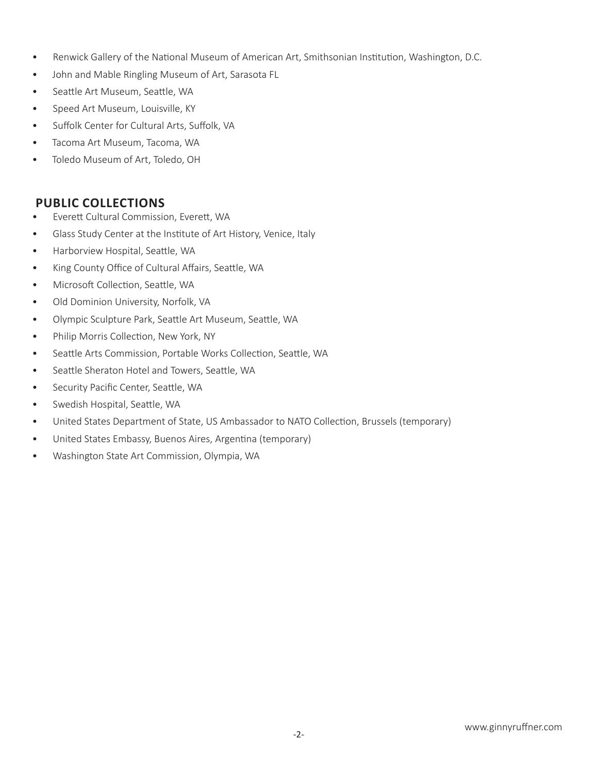- Renwick Gallery of the National Museum of American Art, Smithsonian Institution, Washington, D.C.
- John and Mable Ringling Museum of Art, Sarasota FL
- Seattle Art Museum, Seattle, WA
- Speed Art Museum, Louisville, KY
- Suffolk Center for Cultural Arts, Suffolk, VA
- Tacoma Art Museum, Tacoma, WA
- Toledo Museum of Art, Toledo, OH

## **PUBLIC COLLECTIONS**

- Everett Cultural Commission, Everett, WA
- Glass Study Center at the Institute of Art History, Venice, Italy
- Harborview Hospital, Seattle, WA
- King County Office of Cultural Affairs, Seattle, WA
- Microsoft Collection, Seattle, WA
- Old Dominion University, Norfolk, VA
- Olympic Sculpture Park, Seattle Art Museum, Seattle, WA
- Philip Morris Collection, New York, NY
- Seattle Arts Commission, Portable Works Collection, Seattle, WA
- Seattle Sheraton Hotel and Towers, Seattle, WA
- Security Pacific Center, Seattle, WA
- Swedish Hospital, Seattle, WA
- United States Department of State, US Ambassador to NATO Collection, Brussels (temporary)
- United States Embassy, Buenos Aires, Argentina (temporary)
- Washington State Art Commission, Olympia, WA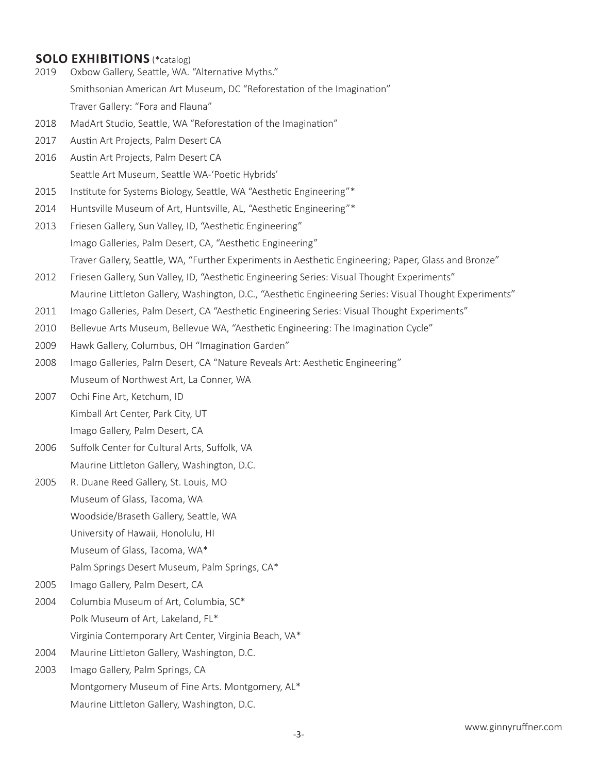## **SOLO EXHIBITIONS** (\*catalog)

- 2019 Oxbow Gallery, Seattle, WA. "Alternative Myths." Smithsonian American Art Museum, DC "Reforestation of the Imagination" Traver Gallery: "Fora and Flauna"
- 2018 MadArt Studio, Seattle, WA "Reforestation of the Imagination"
- 2017 Austin Art Projects, Palm Desert CA
- 2016 Austin Art Projects, Palm Desert CA Seattle Art Museum, Seattle WA-'Poetic Hybrids'
- 2015 Institute for Systems Biology, Seattle, WA "Aesthetic Engineering"\*
- 2014 Huntsville Museum of Art, Huntsville, AL, "Aesthetic Engineering"\*
- 2013 Friesen Gallery, Sun Valley, ID, "Aesthetic Engineering" Imago Galleries, Palm Desert, CA, "Aesthetic Engineering" Traver Gallery, Seattle, WA, "Further Experiments in Aesthetic Engineering; Paper, Glass and Bronze"
- 2012 Friesen Gallery, Sun Valley, ID, "Aesthetic Engineering Series: Visual Thought Experiments" Maurine Littleton Gallery, Washington, D.C., "Aesthetic Engineering Series: Visual Thought Experiments"
- 2011 Imago Galleries, Palm Desert, CA "Aesthetic Engineering Series: Visual Thought Experiments"
- 2010 Bellevue Arts Museum, Bellevue WA, "Aesthetic Engineering: The Imagination Cycle"
- 2009 Hawk Gallery, Columbus, OH "Imagination Garden"
- 2008 Imago Galleries, Palm Desert, CA "Nature Reveals Art: Aesthetic Engineering" Museum of Northwest Art, La Conner, WA
- 2007 Ochi Fine Art, Ketchum, ID Kimball Art Center, Park City, UT Imago Gallery, Palm Desert, CA
- 2006 Suffolk Center for Cultural Arts, Suffolk, VA Maurine Littleton Gallery, Washington, D.C.
- 2005 R. Duane Reed Gallery, St. Louis, MO Museum of Glass, Tacoma, WA Woodside/Braseth Gallery, Seattle, WA University of Hawaii, Honolulu, HI Museum of Glass, Tacoma, WA\* Palm Springs Desert Museum, Palm Springs, CA\*
- 2005 Imago Gallery, Palm Desert, CA
- 2004 Columbia Museum of Art, Columbia, SC\* Polk Museum of Art, Lakeland, FL\* Virginia Contemporary Art Center, Virginia Beach, VA\*
- 2004 Maurine Littleton Gallery, Washington, D.C.
- 2003 Imago Gallery, Palm Springs, CA Montgomery Museum of Fine Arts. Montgomery, AL\* Maurine Littleton Gallery, Washington, D.C.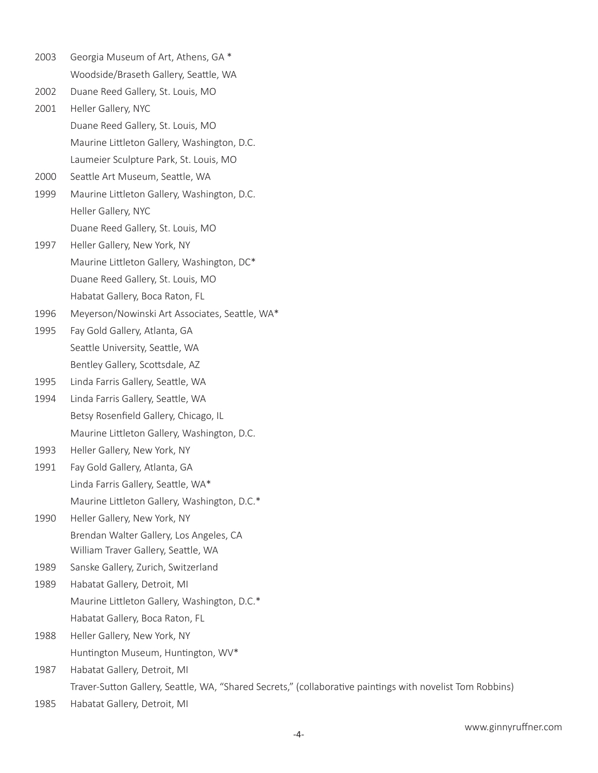| 2003 | Georgia Museum of Art, Athens, GA *                                                                       |
|------|-----------------------------------------------------------------------------------------------------------|
|      | Woodside/Braseth Gallery, Seattle, WA                                                                     |
| 2002 | Duane Reed Gallery, St. Louis, MO                                                                         |
| 2001 | Heller Gallery, NYC                                                                                       |
|      | Duane Reed Gallery, St. Louis, MO                                                                         |
|      | Maurine Littleton Gallery, Washington, D.C.                                                               |
|      | Laumeier Sculpture Park, St. Louis, MO                                                                    |
| 2000 | Seattle Art Museum, Seattle, WA                                                                           |
| 1999 | Maurine Littleton Gallery, Washington, D.C.                                                               |
|      | Heller Gallery, NYC                                                                                       |
|      | Duane Reed Gallery, St. Louis, MO                                                                         |
| 1997 | Heller Gallery, New York, NY                                                                              |
|      | Maurine Littleton Gallery, Washington, DC*                                                                |
|      | Duane Reed Gallery, St. Louis, MO                                                                         |
|      | Habatat Gallery, Boca Raton, FL                                                                           |
| 1996 | Meyerson/Nowinski Art Associates, Seattle, WA*                                                            |
| 1995 | Fay Gold Gallery, Atlanta, GA                                                                             |
|      | Seattle University, Seattle, WA                                                                           |
|      | Bentley Gallery, Scottsdale, AZ                                                                           |
| 1995 | Linda Farris Gallery, Seattle, WA                                                                         |
| 1994 | Linda Farris Gallery, Seattle, WA                                                                         |
|      | Betsy Rosenfield Gallery, Chicago, IL                                                                     |
|      | Maurine Littleton Gallery, Washington, D.C.                                                               |
| 1993 | Heller Gallery, New York, NY                                                                              |
| 1991 | Fay Gold Gallery, Atlanta, GA                                                                             |
|      | Linda Farris Gallery, Seattle, WA*                                                                        |
|      | Maurine Littleton Gallery, Washington, D.C.*                                                              |
| 1990 | Heller Gallery, New York, NY                                                                              |
|      | Brendan Walter Gallery, Los Angeles, CA                                                                   |
|      | William Traver Gallery, Seattle, WA                                                                       |
| 1989 | Sanske Gallery, Zurich, Switzerland                                                                       |
| 1989 | Habatat Gallery, Detroit, MI                                                                              |
|      | Maurine Littleton Gallery, Washington, D.C.*                                                              |
|      | Habatat Gallery, Boca Raton, FL                                                                           |
| 1988 | Heller Gallery, New York, NY                                                                              |
|      | Huntington Museum, Huntington, WV*                                                                        |
| 1987 | Habatat Gallery, Detroit, MI                                                                              |
|      | Traver-Sutton Gallery, Seattle, WA, "Shared Secrets," (collaborative paintings with novelist Tom Robbins) |
| 1985 | Habatat Gallery, Detroit, MI                                                                              |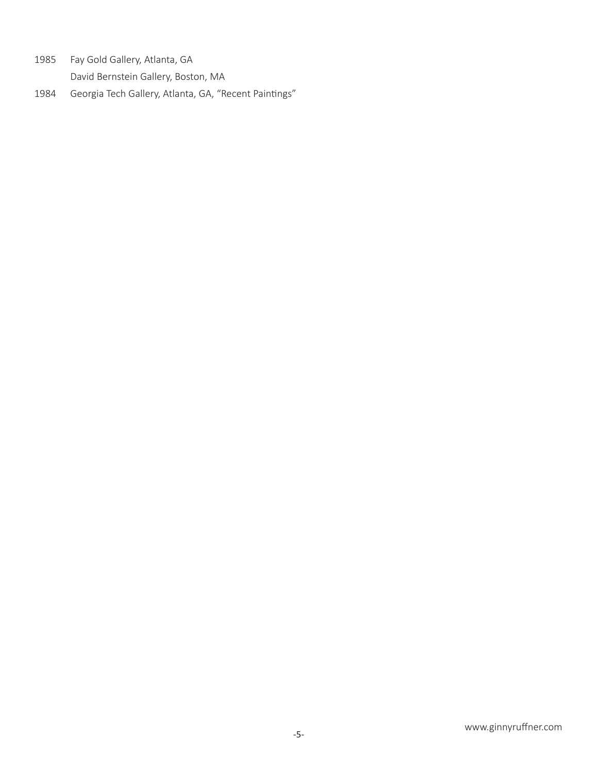1985 Fay Gold Gallery, Atlanta, GA

David Bernstein Gallery, Boston, MA

1984 Georgia Tech Gallery, Atlanta, GA, "Recent Paintings"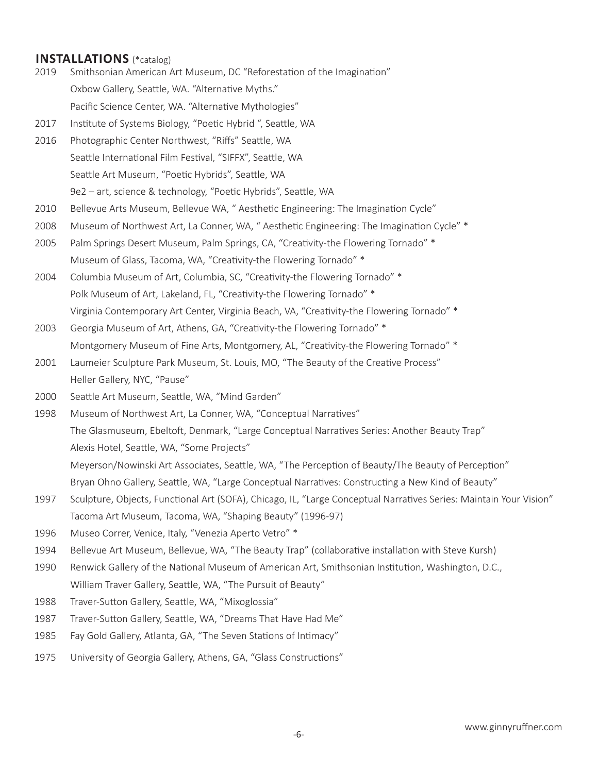## **INSTALLATIONS** (\*catalog)

- 2019 Smithsonian American Art Museum, DC "Reforestation of the Imagination" Oxbow Gallery, Seattle, WA. "Alternative Myths." Pacific Science Center, WA. "Alternative Mythologies"
- 2017 Institute of Systems Biology, "Poetic Hybrid ", Seattle, WA
- 2016 Photographic Center Northwest, "Riffs" Seattle, WA Seattle International Film Festival, "SIFFX", Seattle, WA Seattle Art Museum, "Poetic Hybrids", Seattle, WA 9e2 – art, science & technology, "Poetic Hybrids", Seattle, WA
- 2010 Bellevue Arts Museum, Bellevue WA, " Aesthetic Engineering: The Imagination Cycle"
- 2008 Museum of Northwest Art, La Conner, WA, "Aesthetic Engineering: The Imagination Cycle" \*
- 2005 Palm Springs Desert Museum, Palm Springs, CA, "Creativity-the Flowering Tornado" \* Museum of Glass, Tacoma, WA, "Creativity-the Flowering Tornado" \*
- 2004 Columbia Museum of Art, Columbia, SC, "Creativity-the Flowering Tornado" \* Polk Museum of Art, Lakeland, FL, "Creativity-the Flowering Tornado" \* Virginia Contemporary Art Center, Virginia Beach, VA, "Creativity-the Flowering Tornado" \*
- 2003 Georgia Museum of Art, Athens, GA, "Creativity-the Flowering Tornado" \* Montgomery Museum of Fine Arts, Montgomery, AL, "Creativity-the Flowering Tornado" \*
- 2001 Laumeier Sculpture Park Museum, St. Louis, MO, "The Beauty of the Creative Process" Heller Gallery, NYC, "Pause"
- 2000 Seattle Art Museum, Seattle, WA, "Mind Garden"
- 1998 Museum of Northwest Art, La Conner, WA, "Conceptual Narratives" The Glasmuseum, Ebeltoft, Denmark, "Large Conceptual Narratives Series: Another Beauty Trap" Alexis Hotel, Seattle, WA, "Some Projects" Meyerson/Nowinski Art Associates, Seattle, WA, "The Perception of Beauty/The Beauty of Perception"
	- Bryan Ohno Gallery, Seattle, WA, "Large Conceptual Narratives: Constructing a New Kind of Beauty"
- 1997 Sculpture, Objects, Functional Art (SOFA), Chicago, IL, "Large Conceptual Narratives Series: Maintain Your Vision" Tacoma Art Museum, Tacoma, WA, "Shaping Beauty" (1996-97)
- 1996 Museo Correr, Venice, Italy, "Venezia Aperto Vetro" \*
- 1994 Bellevue Art Museum, Bellevue, WA, "The Beauty Trap" (collaborative installation with Steve Kursh)
- 1990 Renwick Gallery of the National Museum of American Art, Smithsonian Institution, Washington, D.C., William Traver Gallery, Seattle, WA, "The Pursuit of Beauty"
- 1988 Traver-Sutton Gallery, Seattle, WA, "Mixoglossia"
- 1987 Traver-Sutton Gallery, Seattle, WA, "Dreams That Have Had Me"
- 1985 Fay Gold Gallery, Atlanta, GA, "The Seven Stations of Intimacy"
- 1975 University of Georgia Gallery, Athens, GA, "Glass Constructions"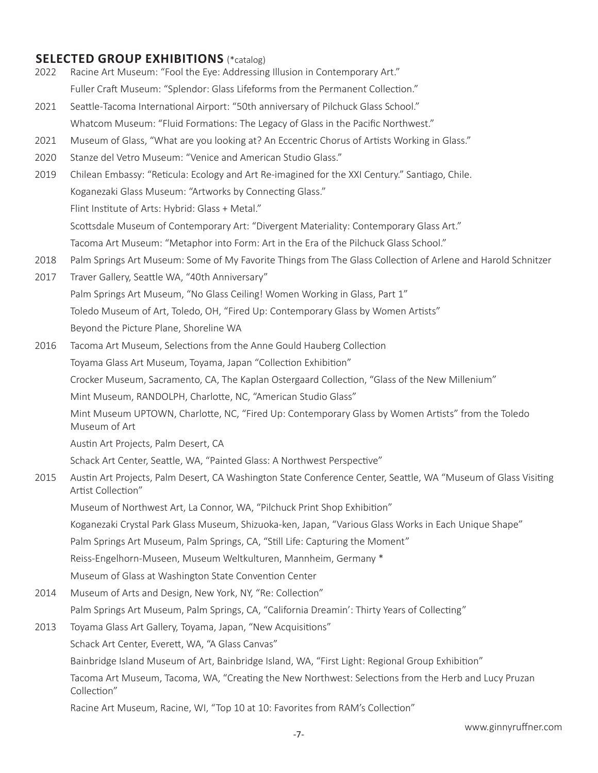# **SELECTED GROUP EXHIBITIONS** (\*catalog)

- 2022 Racine Art Museum: "Fool the Eye: Addressing Illusion in Contemporary Art." Fuller Craft Museum: "Splendor: Glass Lifeforms from the Permanent Collection."
- 2021 Seattle-Tacoma International Airport: "50th anniversary of Pilchuck Glass School." Whatcom Museum: "Fluid Formations: The Legacy of Glass in the Pacific Northwest."
- 2021 Museum of Glass, "What are you looking at? An Eccentric Chorus of Artists Working in Glass."
- 2020 Stanze del Vetro Museum: "Venice and American Studio Glass."
- 2019 Chilean Embassy: "Reticula: Ecology and Art Re-imagined for the XXI Century." Santiago, Chile. Koganezaki Glass Museum: "Artworks by Connecting Glass." Flint Institute of Arts: Hybrid: Glass + Metal."

Scottsdale Museum of Contemporary Art: "Divergent Materiality: Contemporary Glass Art."

Tacoma Art Museum: "Metaphor into Form: Art in the Era of the Pilchuck Glass School."

- 2018 Palm Springs Art Museum: Some of My Favorite Things from The Glass Collection of Arlene and Harold Schnitzer
- 2017 Traver Gallery, Seattle WA, "40th Anniversary" Palm Springs Art Museum, "No Glass Ceiling! Women Working in Glass, Part 1" Toledo Museum of Art, Toledo, OH, "Fired Up: Contemporary Glass by Women Artists" Beyond the Picture Plane, Shoreline WA
- 2016 Tacoma Art Museum, Selections from the Anne Gould Hauberg Collection Toyama Glass Art Museum, Toyama, Japan "Collection Exhibition" Crocker Museum, Sacramento, CA, The Kaplan Ostergaard Collection, "Glass of the New Millenium" Mint Museum, RANDOLPH, Charlotte, NC, "American Studio Glass"
	- Mint Museum UPTOWN, Charlotte, NC, "Fired Up: Contemporary Glass by Women Artists" from the Toledo Museum of Art

Austin Art Projects, Palm Desert, CA

Schack Art Center, Seattle, WA, "Painted Glass: A Northwest Perspective"

2015 Austin Art Projects, Palm Desert, CA Washington State Conference Center, Seattle, WA "Museum of Glass Visiting Artist Collection"

Museum of Northwest Art, La Connor, WA, "Pilchuck Print Shop Exhibition"

Koganezaki Crystal Park Glass Museum, Shizuoka-ken, Japan, "Various Glass Works in Each Unique Shape"

Palm Springs Art Museum, Palm Springs, CA, "Still Life: Capturing the Moment"

Reiss-Engelhorn-Museen, Museum Weltkulturen, Mannheim, Germany \*

Museum of Glass at Washington State Convention Center

2014 Museum of Arts and Design, New York, NY, "Re: Collection"

Palm Springs Art Museum, Palm Springs, CA, "California Dreamin': Thirty Years of Collecting"

2013 Toyama Glass Art Gallery, Toyama, Japan, "New Acquisitions"

Schack Art Center, Everett, WA, "A Glass Canvas"

Bainbridge Island Museum of Art, Bainbridge Island, WA, "First Light: Regional Group Exhibition"

Tacoma Art Museum, Tacoma, WA, "Creating the New Northwest: Selections from the Herb and Lucy Pruzan Collection"

Racine Art Museum, Racine, WI, "Top 10 at 10: Favorites from RAM's Collection"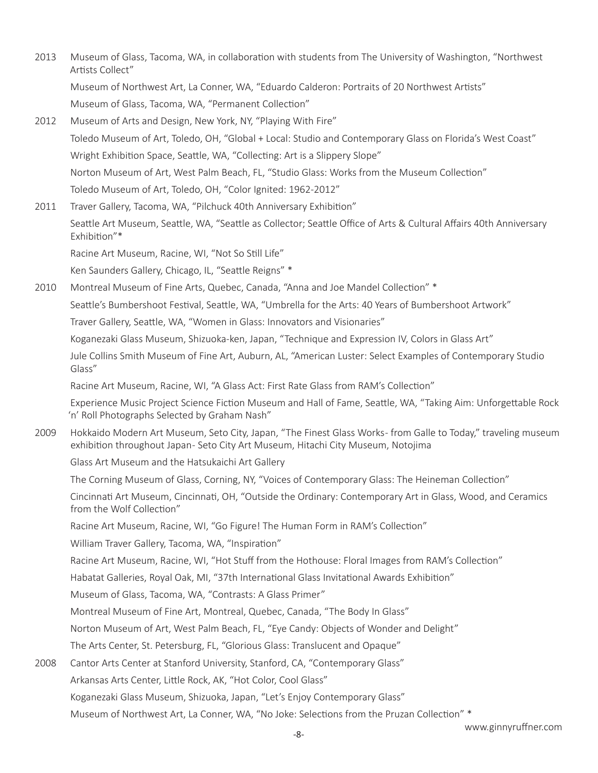- 2013 Museum of Glass, Tacoma, WA, in collaboration with students from The University of Washington, "Northwest Artists Collect" Museum of Northwest Art, La Conner, WA, "Eduardo Calderon: Portraits of 20 Northwest Artists" Museum of Glass, Tacoma, WA, "Permanent Collection"
- 2012 Museum of Arts and Design, New York, NY, "Playing With Fire" Toledo Museum of Art, Toledo, OH, "Global + Local: Studio and Contemporary Glass on Florida's West Coast" Wright Exhibition Space, Seattle, WA, "Collecting: Art is a Slippery Slope" Norton Museum of Art, West Palm Beach, FL, "Studio Glass: Works from the Museum Collection" Toledo Museum of Art, Toledo, OH, "Color Ignited: 1962-2012"

2011 Traver Gallery, Tacoma, WA, "Pilchuck 40th Anniversary Exhibition" Seattle Art Museum, Seattle, WA, "Seattle as Collector; Seattle Office of Arts & Cultural Affairs 40th Anniversary Exhibition"\* Racine Art Museum, Racine, WI, "Not So Still Life" Ken Saunders Gallery, Chicago, IL, "Seattle Reigns" \*

2010 Montreal Museum of Fine Arts, Quebec, Canada, "Anna and Joe Mandel Collection" \*

Seattle's Bumbershoot Festival, Seattle, WA, "Umbrella for the Arts: 40 Years of Bumbershoot Artwork"

Traver Gallery, Seattle, WA, "Women in Glass: Innovators and Visionaries"

Koganezaki Glass Museum, Shizuoka-ken, Japan, "Technique and Expression IV, Colors in Glass Art"

Jule Collins Smith Museum of Fine Art, Auburn, AL, "American Luster: Select Examples of Contemporary Studio Glass"

Racine Art Museum, Racine, WI, "A Glass Act: First Rate Glass from RAM's Collection"

Experience Music Project Science Fiction Museum and Hall of Fame, Seattle, WA, "Taking Aim: Unforgettable Rock 'n' Roll Photographs Selected by Graham Nash"

2009 Hokkaido Modern Art Museum, Seto City, Japan, "The Finest Glass Works - from Galle to Today," traveling museum exhibition throughout Japan- Seto City Art Museum, Hitachi City Museum, Notojima

Glass Art Museum and the Hatsukaichi Art Gallery

The Corning Museum of Glass, Corning, NY, "Voices of Contemporary Glass: The Heineman Collection"

Cincinnati Art Museum, Cincinnati, OH, "Outside the Ordinary: Contemporary Art in Glass, Wood, and Ceramics from the Wolf Collection"

Racine Art Museum, Racine, WI, "Go Figure! The Human Form in RAM's Collection"

William Traver Gallery, Tacoma, WA, "Inspiration"

Racine Art Museum, Racine, WI, "Hot Stuff from the Hothouse: Floral Images from RAM's Collection"

Habatat Galleries, Royal Oak, MI, "37th International Glass Invitational Awards Exhibition"

Museum of Glass, Tacoma, WA, "Contrasts: A Glass Primer"

Montreal Museum of Fine Art, Montreal, Quebec, Canada, "The Body In Glass"

Norton Museum of Art, West Palm Beach, FL, "Eye Candy: Objects of Wonder and Delight"

The Arts Center, St. Petersburg, FL, "Glorious Glass: Translucent and Opaque"

2008 Cantor Arts Center at Stanford University, Stanford, CA, "Contemporary Glass"

Arkansas Arts Center, Little Rock, AK, "Hot Color, Cool Glass"

Koganezaki Glass Museum, Shizuoka, Japan, "Let's Enjoy Contemporary Glass"

Museum of Northwest Art, La Conner, WA, "No Joke: Selections from the Pruzan Collection" \*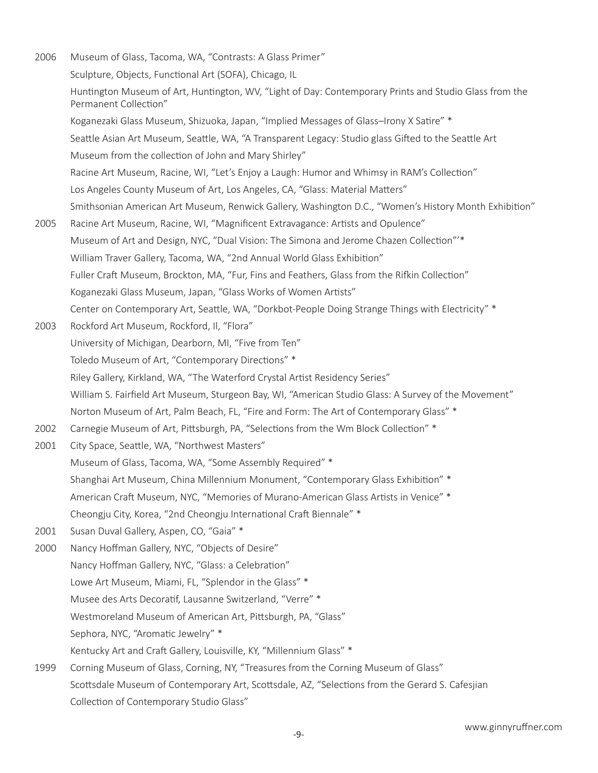2006 Museum of Glass, Tacoma, WA, "Contrasts: A Glass Primer" Sculpture, Objects, Functional Art (SOFA), Chicago, IL Huntington Museum of Art, Huntington, WV, "Light of Day: Contemporary Prints and Studio Glass from the Permanent Collection" Koganezaki Glass Museum, Shizuoka, Japan, "Implied Messages of Glass–Irony X Satire" \* Seattle Asian Art Museum, Seattle, WA, "A Transparent Legacy: Studio glass Gifted to the Seattle Art Museum from the collection of John and Mary Shirley" Racine Art Museum, Racine, WI, "Let's Enjoy a Laugh: Humor and Whimsy in RAM's Collection" Los Angeles County Museum of Art, Los Angeles, CA, "Glass: Material Matters" Smithsonian American Art Museum, Renwick Gallery, Washington D.C., "Women's History Month Exhibition" 2005 Racine Art Museum, Racine, WI, "Magnificent Extravagance: Artists and Opulence" Museum of Art and Design, NYC, "Dual Vision: The Simona and Jerome Chazen Collection"'\* William Traver Gallery, Tacoma, WA, "2nd Annual World Glass Exhibition" Fuller Craft Museum, Brockton, MA, "Fur, Fins and Feathers, Glass from the Rifkin Collection" Koganezaki Glass Museum, Japan, "Glass Works of Women Artists" Center on Contemporary Art, Seattle, WA, "Dorkbot-People Doing Strange Things with Electricity" \* 2003 Rockford Art Museum, Rockford, Il, "Flora" University of Michigan, Dearborn, MI, "Five from Ten" Toledo Museum of Art, "Contemporary Directions" \* Riley Gallery, Kirkland, WA, "The Waterford Crystal Artist Residency Series" William S. Fairfield Art Museum, Sturgeon Bay, WI, "American Studio Glass: A Survey of the Movement" Norton Museum of Art, Palm Beach, FL, "Fire and Form: The Art of Contemporary Glass" \* 2002 Carnegie Museum of Art, Pittsburgh, PA, "Selections from the Wm Block Collection" \* 2001 City Space, Seattle, WA, "Northwest Masters" Museum of Glass, Tacoma, WA, "Some Assembly Required" \* Shanghai Art Museum, China Millennium Monument, "Contemporary Glass Exhibition" \* American Craft Museum, NYC, "Memories of Murano-American Glass Artists in Venice" \* Cheongju City, Korea, "2nd Cheongju International Craft Biennale" \* 2001 Susan Duval Gallery, Aspen, CO, "Gaia" \* 2000 Nancy Hoffman Gallery, NYC, "Objects of Desire" Nancy Hoffman Gallery, NYC, "Glass: a Celebration" Lowe Art Museum, Miami, FL, "Splendor in the Glass" \* Musee des Arts Decoratif, Lausanne Switzerland, "Verre" \* Westmoreland Museum of American Art, Pittsburgh, PA, "Glass" Sephora, NYC, "Aromatic Jewelry" \* Kentucky Art and Craft Gallery, Louisville, KY, "Millennium Glass" \* 1999 Corning Museum of Glass, Corning, NY, "Treasures from the Corning Museum of Glass" Scottsdale Museum of Contemporary Art, Scottsdale, AZ, "Selections from the Gerard S. Cafesjian Collection of Contemporary Studio Glass"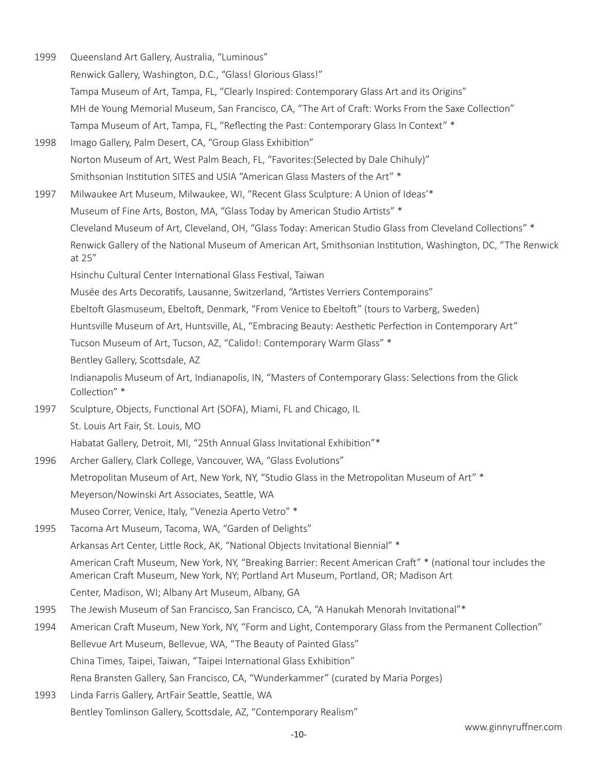1999 Queensland Art Gallery, Australia, "Luminous" Renwick Gallery, Washington, D.C., "Glass! Glorious Glass!" Tampa Museum of Art, Tampa, FL, "Clearly Inspired: Contemporary Glass Art and its Origins" MH de Young Memorial Museum, San Francisco, CA, "The Art of Craft: Works From the Saxe Collection" Tampa Museum of Art, Tampa, FL, "Reflecting the Past: Contemporary Glass In Context" \* 1998 Imago Gallery, Palm Desert, CA, "Group Glass Exhibition" Norton Museum of Art, West Palm Beach, FL, "Favorites:(Selected by Dale Chihuly)" Smithsonian Institution SITES and USIA "American Glass Masters of the Art" \* 1997 Milwaukee Art Museum, Milwaukee, WI, "Recent Glass Sculpture: A Union of Ideas'\* Museum of Fine Arts, Boston, MA, "Glass Today by American Studio Artists" \* Cleveland Museum of Art, Cleveland, OH, "Glass Today: American Studio Glass from Cleveland Collections" \* Renwick Gallery of the National Museum of American Art, Smithsonian Institution, Washington, DC, "The Renwick at 25" Hsinchu Cultural Center International Glass Festival, Taiwan Musée des Arts Decoratifs, Lausanne, Switzerland, "Artistes Verriers Contemporains" Ebeltoft Glasmuseum, Ebeltoft, Denmark, "From Venice to Ebeltoft" (tours to Varberg, Sweden) Huntsville Museum of Art, Huntsville, AL, "Embracing Beauty: Aesthetic Perfection in Contemporary Art" Tucson Museum of Art, Tucson, AZ, "Calido!: Contemporary Warm Glass" \* Bentley Gallery, Scottsdale, AZ Indianapolis Museum of Art, Indianapolis, IN, "Masters of Contemporary Glass: Selections from the Glick Collection" \* 1997 Sculpture, Objects, Functional Art (SOFA), Miami, FL and Chicago, IL St. Louis Art Fair, St. Louis, MO Habatat Gallery, Detroit, MI, "25th Annual Glass Invitational Exhibition"\* 1996 Archer Gallery, Clark College, Vancouver, WA, "Glass Evolutions" Metropolitan Museum of Art, New York, NY, "Studio Glass in the Metropolitan Museum of Art" \* Meyerson/Nowinski Art Associates, Seattle, WA Museo Correr, Venice, Italy, "Venezia Aperto Vetro" \* 1995 Tacoma Art Museum, Tacoma, WA, "Garden of Delights" Arkansas Art Center, Little Rock, AK, "National Objects Invitational Biennial" \* American Craft Museum, New York, NY, "Breaking Barrier: Recent American Craft" \* (national tour includes the American Craft Museum, New York, NY; Portland Art Museum, Portland, OR; Madison Art Center, Madison, WI; Albany Art Museum, Albany, GA 1995 The Jewish Museum of San Francisco, San Francisco, CA, "A Hanukah Menorah Invitational"\* 1994 American Craft Museum, New York, NY, "Form and Light, Contemporary Glass from the Permanent Collection" Bellevue Art Museum, Bellevue, WA, "The Beauty of Painted Glass" China Times, Taipei, Taiwan, "Taipei International Glass Exhibition" Rena Bransten Gallery, San Francisco, CA, "Wunderkammer" (curated by Maria Porges) 1993 Linda Farris Gallery, ArtFair Seattle, Seattle, WA Bentley Tomlinson Gallery, Scottsdale, AZ, "Contemporary Realism"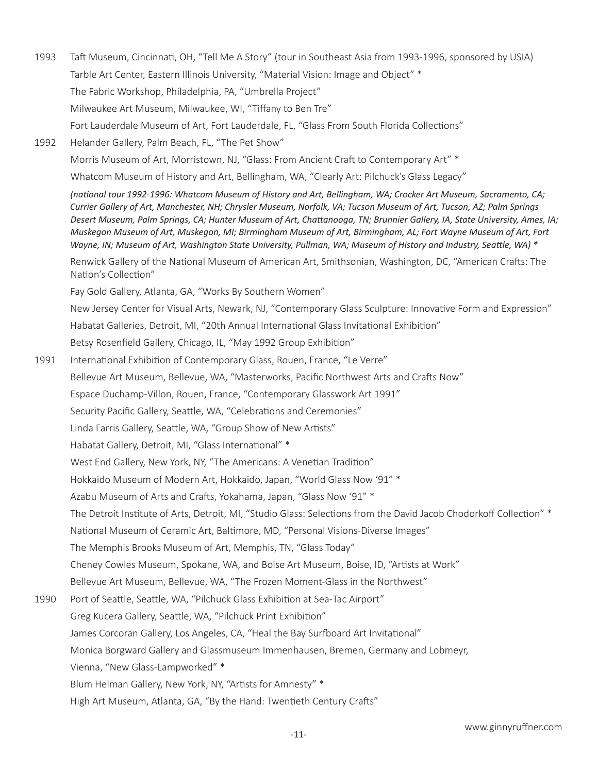1993 Taft Museum, Cincinnati, OH, "Tell Me A Story" (tour in Southeast Asia from 1993-1996, sponsored by USIA) Tarble Art Center, Eastern Illinois University, "Material Vision: Image and Object" \* The Fabric Workshop, Philadelphia, PA, "Umbrella Project" Milwaukee Art Museum, Milwaukee, WI, "Tiffany to Ben Tre" Fort Lauderdale Museum of Art, Fort Lauderdale, FL, "Glass From South Florida Collections" 1992 Helander Gallery, Palm Beach, FL, "The Pet Show" Morris Museum of Art, Morristown, NJ, "Glass: From Ancient Craft to Contemporary Art" \* Whatcom Museum of History and Art, Bellingham, WA, "Clearly Art: Pilchuck's Glass Legacy" *(national tour 1992-1996: Whatcom Museum of History and Art, Bellingham, WA; Crocker Art Museum, Sacramento, CA; Currier Gallery of Art, Manchester, NH; Chrysler Museum, Norfolk, VA; Tucson Museum of Art, Tucson, AZ; Palm Springs Desert Museum, Palm Springs, CA; Hunter Museum of Art, Chattanooga, TN; Brunnier Gallery, IA, State University, Ames, IA; Muskegon Museum of Art, Muskegon, MI; Birmingham Museum of Art, Birmingham, AL; Fort Wayne Museum of Art, Fort Wayne, IN; Museum of Art, Washington State University, Pullman, WA; Museum of History and Industry, Seattle, WA) \** Renwick Gallery of the National Museum of American Art, Smithsonian, Washington, DC, "American Crafts: The Nation's Collection" Fay Gold Gallery, Atlanta, GA, "Works By Southern Women" New Jersey Center for Visual Arts, Newark, NJ, "Contemporary Glass Sculpture: Innovative Form and Expression" Habatat Galleries, Detroit, MI, "20th Annual International Glass Invitational Exhibition" Betsy Rosenfield Gallery, Chicago, IL, "May 1992 Group Exhibition" 1991 International Exhibition of Contemporary Glass, Rouen, France, "Le Verre" Bellevue Art Museum, Bellevue, WA, "Masterworks, Pacific Northwest Arts and Crafts Now" Espace Duchamp-Villon, Rouen, France, "Contemporary Glasswork Art 1991" Security Pacific Gallery, Seattle, WA, "Celebrations and Ceremonies" Linda Farris Gallery, Seattle, WA, "Group Show of New Artists" Habatat Gallery, Detroit, MI, "Glass International" \* West End Gallery, New York, NY, "The Americans: A Venetian Tradition" Hokkaido Museum of Modern Art, Hokkaido, Japan, "World Glass Now '91" \* Azabu Museum of Arts and Crafts, Yokahama, Japan, "Glass Now '91" \* The Detroit Institute of Arts, Detroit, MI, "Studio Glass: Selections from the David Jacob Chodorkoff Collection" \* National Museum of Ceramic Art, Baltimore, MD, "Personal Visions-Diverse Images" The Memphis Brooks Museum of Art, Memphis, TN, "Glass Today" Cheney Cowles Museum, Spokane, WA, and Boise Art Museum, Boise, ID, "Artists at Work" Bellevue Art Museum, Bellevue, WA, "The Frozen Moment-Glass in the Northwest" 1990 Port of Seattle, Seattle, WA, "Pilchuck Glass Exhibition at Sea-Tac Airport" Greg Kucera Gallery, Seattle, WA, "Pilchuck Print Exhibition" James Corcoran Gallery, Los Angeles, CA, "Heal the Bay Surfboard Art Invitational" Monica Borgward Gallery and Glassmuseum Immenhausen, Bremen, Germany and Lobmeyr, Vienna, "New Glass-Lampworked" \* Blum Helman Gallery, New York, NY, "Artists for Amnesty" \* High Art Museum, Atlanta, GA, "By the Hand: Twentieth Century Crafts"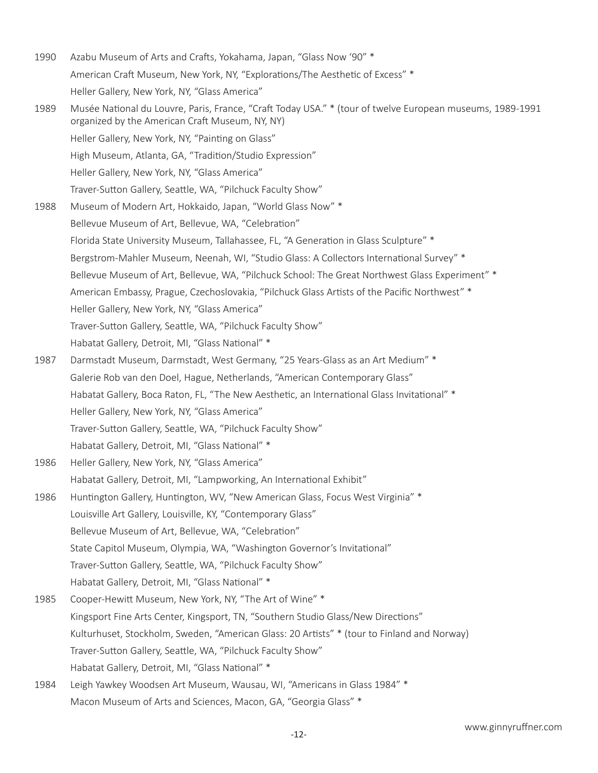1990 Azabu Museum of Arts and Crafts, Yokahama, Japan, "Glass Now '90" \* American Craft Museum, New York, NY, "Explorations/The Aesthetic of Excess" \* Heller Gallery, New York, NY, "Glass America" 1989 Musée National du Louvre, Paris, France, "Craft Today USA." \* (tour of twelve European museums, 1989-1991 organized by the American Craft Museum, NY, NY) Heller Gallery, New York, NY, "Painting on Glass" High Museum, Atlanta, GA, "Tradition/Studio Expression" Heller Gallery, New York, NY, "Glass America" Traver-Sutton Gallery, Seattle, WA, "Pilchuck Faculty Show" 1988 Museum of Modern Art, Hokkaido, Japan, "World Glass Now" \* Bellevue Museum of Art, Bellevue, WA, "Celebration" Florida State University Museum, Tallahassee, FL, "A Generation in Glass Sculpture" \* Bergstrom-Mahler Museum, Neenah, WI, "Studio Glass: A Collectors International Survey" \* Bellevue Museum of Art, Bellevue, WA, "Pilchuck School: The Great Northwest Glass Experiment" \* American Embassy, Prague, Czechoslovakia, "Pilchuck Glass Artists of the Pacific Northwest" \* Heller Gallery, New York, NY, "Glass America" Traver-Sutton Gallery, Seattle, WA, "Pilchuck Faculty Show" Habatat Gallery, Detroit, MI, "Glass National" \* 1987 Darmstadt Museum, Darmstadt, West Germany, "25 Years-Glass as an Art Medium" \* Galerie Rob van den Doel, Hague, Netherlands, "American Contemporary Glass" Habatat Gallery, Boca Raton, FL, "The New Aesthetic, an International Glass Invitational" \* Heller Gallery, New York, NY, "Glass America" Traver-Sutton Gallery, Seattle, WA, "Pilchuck Faculty Show" Habatat Gallery, Detroit, MI, "Glass National" \* 1986 Heller Gallery, New York, NY, "Glass America" Habatat Gallery, Detroit, MI, "Lampworking, An International Exhibit" 1986 Huntington Gallery, Huntington, WV, "New American Glass, Focus West Virginia" \* Louisville Art Gallery, Louisville, KY, "Contemporary Glass" Bellevue Museum of Art, Bellevue, WA, "Celebration" State Capitol Museum, Olympia, WA, "Washington Governor's Invitational" Traver-Sutton Gallery, Seattle, WA, "Pilchuck Faculty Show" Habatat Gallery, Detroit, MI, "Glass National" \* 1985 Cooper-Hewitt Museum, New York, NY, "The Art of Wine" \* Kingsport Fine Arts Center, Kingsport, TN, "Southern Studio Glass/New Directions" Kulturhuset, Stockholm, Sweden, "American Glass: 20 Artists" \* (tour to Finland and Norway) Traver-Sutton Gallery, Seattle, WA, "Pilchuck Faculty Show" Habatat Gallery, Detroit, MI, "Glass National" \* 1984 Leigh Yawkey Woodsen Art Museum, Wausau, WI, "Americans in Glass 1984" \* Macon Museum of Arts and Sciences, Macon, GA, "Georgia Glass" \*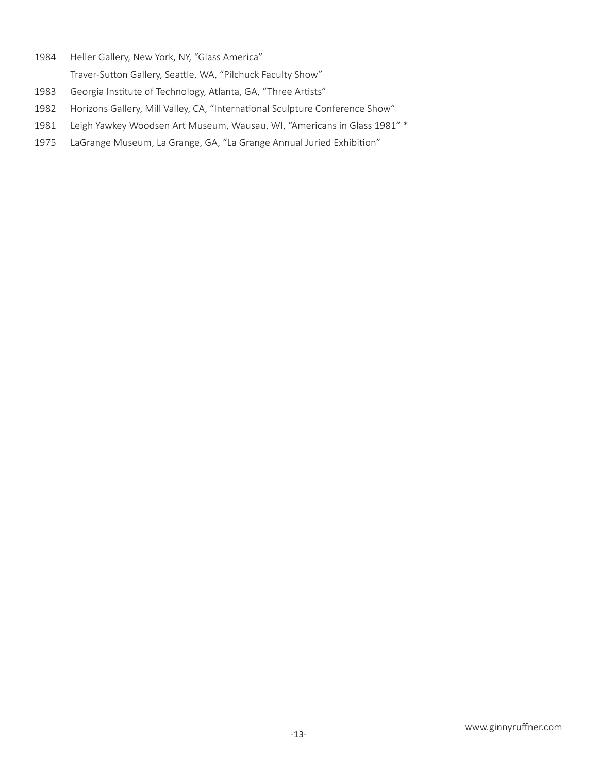- Heller Gallery, New York, NY, "Glass America" Traver-Sutton Gallery, Seattle, WA, "Pilchuck Faculty Show"
- Georgia Institute of Technology, Atlanta, GA, "Three Artists"
- Horizons Gallery, Mill Valley, CA, "International Sculpture Conference Show"
- Leigh Yawkey Woodsen Art Museum, Wausau, WI, "Americans in Glass 1981" \*
- LaGrange Museum, La Grange, GA, "La Grange Annual Juried Exhibition"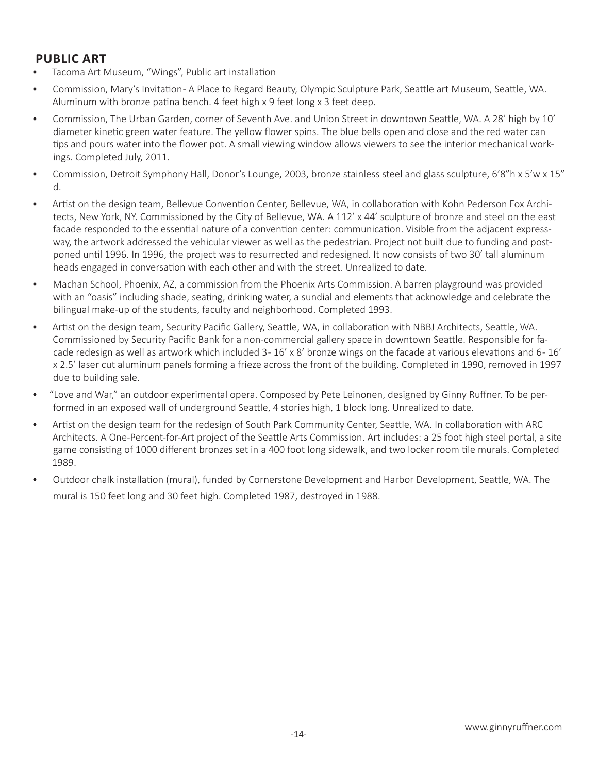# **PUBLIC ART**

- Tacoma Art Museum, "Wings", Public art installation
- Commission, Mary's Invitation- A Place to Regard Beauty, Olympic Sculpture Park, Seattle art Museum, Seattle, WA. Aluminum with bronze patina bench. 4 feet high x 9 feet long x 3 feet deep.
- Commission, The Urban Garden, corner of Seventh Ave. and Union Street in downtown Seattle, WA. A 28' high by 10' diameter kinetic green water feature. The yellow flower spins. The blue bells open and close and the red water can tips and pours water into the flower pot. A small viewing window allows viewers to see the interior mechanical workings. Completed July, 2011.
- Commission, Detroit Symphony Hall, Donor's Lounge, 2003, bronze stainless steel and glass sculpture, 6'8"h x 5'w x 15" d.
- Artist on the design team, Bellevue Convention Center, Bellevue, WA, in collaboration with Kohn Pederson Fox Architects, New York, NY. Commissioned by the City of Bellevue, WA. A 112' x 44' sculpture of bronze and steel on the east facade responded to the essential nature of a convention center: communication. Visible from the adjacent expressway, the artwork addressed the vehicular viewer as well as the pedestrian. Project not built due to funding and postponed until 1996. In 1996, the project was to resurrected and redesigned. It now consists of two 30' tall aluminum heads engaged in conversation with each other and with the street. Unrealized to date.
- Machan School, Phoenix, AZ, a commission from the Phoenix Arts Commission. A barren playground was provided with an "oasis" including shade, seating, drinking water, a sundial and elements that acknowledge and celebrate the bilingual make-up of the students, faculty and neighborhood. Completed 1993.
- Artist on the design team, Security Pacific Gallery, Seattle, WA, in collaboration with NBBJ Architects, Seattle, WA. Commissioned by Security Pacific Bank for a non-commercial gallery space in downtown Seattle. Responsible for facade redesign as well as artwork which included  $3 - 16' \times 8'$  bronze wings on the facade at various elevations and  $6 - 16'$ x 2.5' laser cut aluminum panels forming a frieze across the front of the building. Completed in 1990, removed in 1997 due to building sale.
- "Love and War," an outdoor experimental opera. Composed by Pete Leinonen, designed by Ginny Ruffner. To be performed in an exposed wall of underground Seattle, 4 stories high, 1 block long. Unrealized to date.
- Artist on the design team for the redesign of South Park Community Center, Seattle, WA. In collaboration with ARC Architects. A One-Percent-for-Art project of the Seattle Arts Commission. Art includes: a 25 foot high steel portal, a site game consisting of 1000 different bronzes set in a 400 foot long sidewalk, and two locker room tile murals. Completed 1989.
- Outdoor chalk installation (mural), funded by Cornerstone Development and Harbor Development, Seattle, WA. The mural is 150 feet long and 30 feet high. Completed 1987, destroyed in 1988.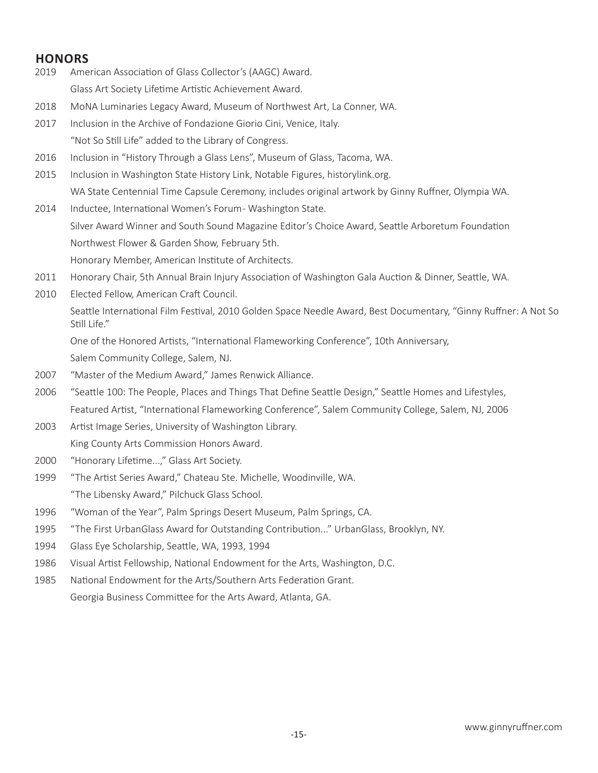# **HONORS**

- 2019 American Association of Glass Collector's (AAGC) Award.
	- Glass Art Society Lifetime Artistic Achievement Award.
- 2018 MoNA Luminaries Legacy Award, Museum of Northwest Art, La Conner, WA.
- 2017 Inclusion in the Archive of Fondazione Giorio Cini, Venice, Italy. "Not So Still Life" added to the Library of Congress.
- 2016 Inclusion in "History Through a Glass Lens", Museum of Glass, Tacoma, WA.
- 2015 Inclusion in Washington State History Link, Notable Figures, historylink.org. WA State Centennial Time Capsule Ceremony, includes original artwork by Ginny Ruffner, Olympia WA.
- 2014 Inductee, International Women's Forum-Washington State. Silver Award Winner and South Sound Magazine Editor's Choice Award, Seattle Arboretum Foundation Northwest Flower & Garden Show, February 5th. Honorary Member, American Institute of Architects.
- 2011 Honorary Chair, 5th Annual Brain Injury Association of Washington Gala Auction & Dinner, Seattle, WA.
- 2010 Elected Fellow, American Craft Council.

Seattle International Film Festival, 2010 Golden Space Needle Award, Best Documentary, "Ginny Ruffner: A Not So Still Life."

One of the Honored Artists, "International Flameworking Conference", 10th Anniversary, Salem Community College, Salem, NJ.

- 2007 "Master of the Medium Award," James Renwick Alliance.
- 2006 "Seattle 100: The People, Places and Things That Define Seattle Design," Seattle Homes and Lifestyles, Featured Artist, "International Flameworking Conference", Salem Community College, Salem, NJ, 2006
- 2003 Artist Image Series, University of Washington Library. King County Arts Commission Honors Award.
- 2000 "Honorary Lifetime...," Glass Art Society.
- 1999 "The Artist Series Award," Chateau Ste. Michelle, Woodinville, WA. "The Libensky Award," Pilchuck Glass School.
- 1996 "Woman of the Year", Palm Springs Desert Museum, Palm Springs, CA.
- 1995 "The First UrbanGlass Award for Outstanding Contribution..." UrbanGlass, Brooklyn, NY.
- 1994 Glass Eye Scholarship, Seattle, WA, 1993, 1994
- 1986 Visual Artist Fellowship, National Endowment for the Arts, Washington, D.C.
- 1985 National Endowment for the Arts/Southern Arts Federation Grant. Georgia Business Committee for the Arts Award, Atlanta, GA.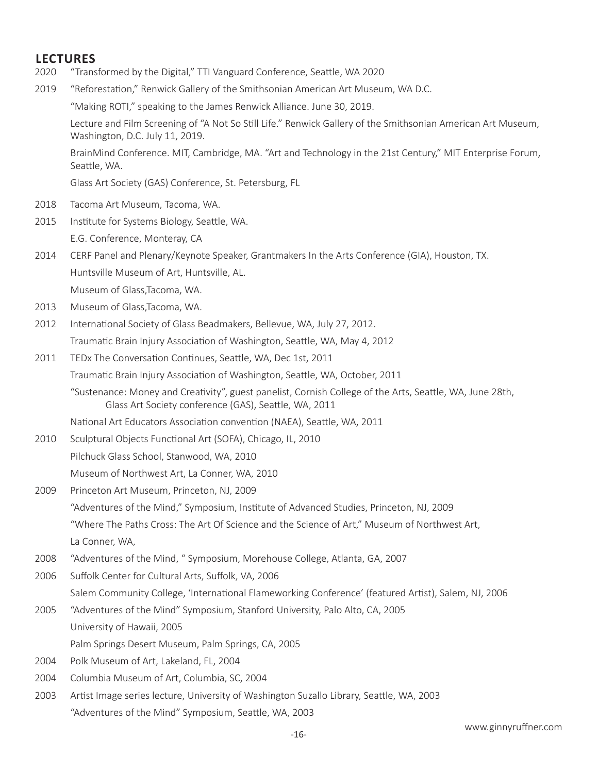# **LECTURES**

- 2020 "Transformed by the Digital," TTI Vanguard Conference, Seattle, WA 2020
- 2019 "Reforestation," Renwick Gallery of the Smithsonian American Art Museum, WA D.C.

"Making ROTI," speaking to the James Renwick Alliance. June 30, 2019.

Lecture and Film Screening of "A Not So Still Life." Renwick Gallery of the Smithsonian American Art Museum, Washington, D.C. July 11, 2019.

BrainMind Conference. MIT, Cambridge, MA. "Art and Technology in the 21st Century," MIT Enterprise Forum, Seattle, WA.

Glass Art Society (GAS) Conference, St. Petersburg, FL

- 2018 Tacoma Art Museum, Tacoma, WA.
- 2015 Institute for Systems Biology, Seattle, WA. E.G. Conference, Monteray, CA
- 2014 CERF Panel and Plenary/Keynote Speaker, Grantmakers In the Arts Conference (GIA), Houston, TX. Huntsville Museum of Art, Huntsville, AL.

Museum of Glass,Tacoma, WA.

- 2013 Museum of Glass,Tacoma, WA.
- 2012 International Society of Glass Beadmakers, Bellevue, WA, July 27, 2012. Traumatic Brain Injury Association of Washington, Seattle, WA, May 4, 2012
- 2011 TEDx The Conversation Continues, Seattle, WA, Dec 1st, 2011 Traumatic Brain Injury Association of Washington, Seattle, WA, October, 2011
	- "Sustenance: Money and Creativity", guest panelist, Cornish College of the Arts, Seattle, WA, June 28th, Glass Art Society conference (GAS), Seattle, WA, 2011

National Art Educators Association convention (NAEA), Seattle, WA, 2011

- 2010 Sculptural Objects Functional Art (SOFA), Chicago, IL, 2010 Pilchuck Glass School, Stanwood, WA, 2010 Museum of Northwest Art, La Conner, WA, 2010
- 2009 Princeton Art Museum, Princeton, NJ, 2009 "Adventures of the Mind," Symposium, Institute of Advanced Studies, Princeton, NJ, 2009 "Where The Paths Cross: The Art Of Science and the Science of Art," Museum of Northwest Art, La Conner, WA,
- 2008 "Adventures of the Mind, " Symposium, Morehouse College, Atlanta, GA, 2007
- 2006 Suffolk Center for Cultural Arts, Suffolk, VA, 2006
	- Salem Community College, 'International Flameworking Conference' (featured Artist), Salem, NJ, 2006
- 2005 "Adventures of the Mind" Symposium, Stanford University, Palo Alto, CA, 2005 University of Hawaii, 2005

Palm Springs Desert Museum, Palm Springs, CA, 2005

- 2004 Polk Museum of Art, Lakeland, FL, 2004
- 2004 Columbia Museum of Art, Columbia, SC, 2004
- 2003 Artist Image series lecture, University of Washington Suzallo Library, Seattle, WA, 2003 "Adventures of the Mind" Symposium, Seattle, WA, 2003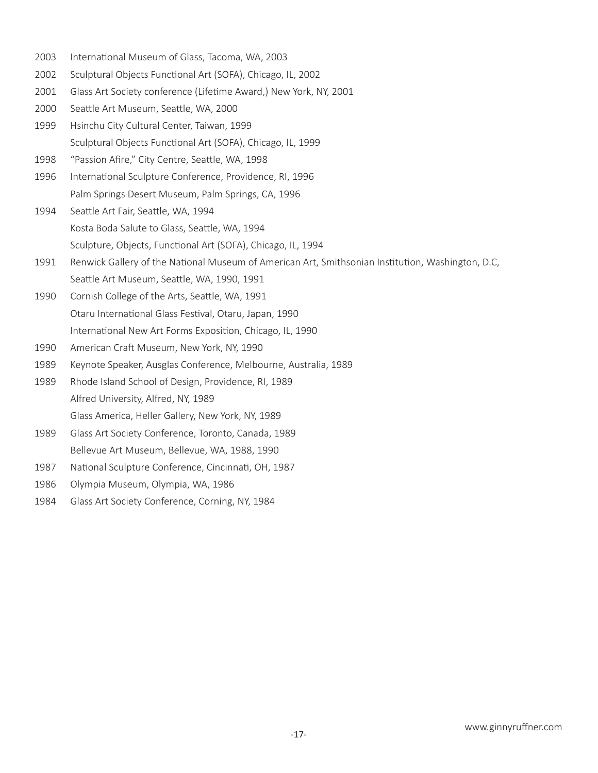- International Museum of Glass, Tacoma, WA, 2003
- Sculptural Objects Functional Art (SOFA), Chicago, IL, 2002
- Glass Art Society conference (Lifetime Award,) New York, NY, 2001
- Seattle Art Museum, Seattle, WA, 2000
- Hsinchu City Cultural Center, Taiwan, 1999 Sculptural Objects Functional Art (SOFA), Chicago, IL, 1999
- "Passion Afire," City Centre, Seattle, WA, 1998
- International Sculpture Conference, Providence, RI, 1996 Palm Springs Desert Museum, Palm Springs, CA, 1996
- Seattle Art Fair, Seattle, WA, 1994 Kosta Boda Salute to Glass, Seattle, WA, 1994 Sculpture, Objects, Functional Art (SOFA), Chicago, IL, 1994
- Renwick Gallery of the National Museum of American Art, Smithsonian Institution, Washington, D.C, Seattle Art Museum, Seattle, WA, 1990, 1991
- Cornish College of the Arts, Seattle, WA, 1991 Otaru International Glass Festival, Otaru, Japan, 1990 International New Art Forms Exposition, Chicago, IL, 1990
- American Craft Museum, New York, NY, 1990
- Keynote Speaker, Ausglas Conference, Melbourne, Australia, 1989

 Rhode Island School of Design, Providence, RI, 1989 Alfred University, Alfred, NY, 1989 Glass America, Heller Gallery, New York, NY, 1989

- Glass Art Society Conference, Toronto, Canada, 1989 Bellevue Art Museum, Bellevue, WA, 1988, 1990
- National Sculpture Conference, Cincinnati, OH, 1987
- Olympia Museum, Olympia, WA, 1986
- Glass Art Society Conference, Corning, NY, 1984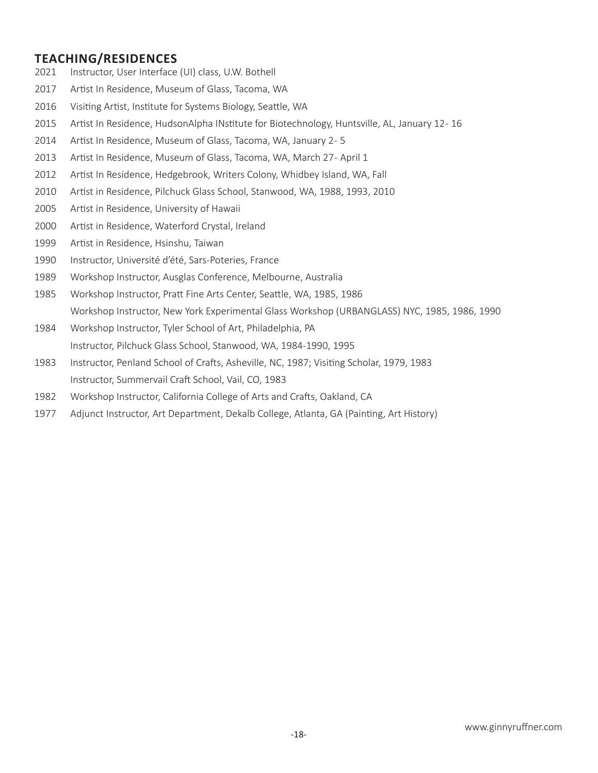## **TEACHING/RESIDENCES**

- Instructor, User Interface (UI) class, U.W. Bothell
- Artist In Residence, Museum of Glass, Tacoma, WA
- Visiting Artist, Institute for Systems Biology, Seattle, WA
- Artist In Residence, HudsonAlpha INstitute for Biotechnology, Huntsville, AL, January 12 16
- 2014 Artist In Residence, Museum of Glass, Tacoma, WA, January 2-5
- 2013 Artist In Residence, Museum of Glass, Tacoma, WA, March 27- April 1
- Artist In Residence, Hedgebrook, Writers Colony, Whidbey Island, WA, Fall
- Artist in Residence, Pilchuck Glass School, Stanwood, WA, 1988, 1993, 2010
- Artist in Residence, University of Hawaii
- Artist in Residence, Waterford Crystal, Ireland
- Artist in Residence, Hsinshu, Taiwan
- Instructor, Université d'été, Sars-Poteries, France
- Workshop Instructor, Ausglas Conference, Melbourne, Australia
- Workshop Instructor, Pratt Fine Arts Center, Seattle, WA, 1985, 1986 Workshop Instructor, New York Experimental Glass Workshop (URBANGLASS) NYC, 1985, 1986, 1990
- Workshop Instructor, Tyler School of Art, Philadelphia, PA Instructor, Pilchuck Glass School, Stanwood, WA, 1984-1990, 1995
- Instructor, Penland School of Crafts, Asheville, NC, 1987; Visiting Scholar, 1979, 1983 Instructor, Summervail Craft School, Vail, CO, 1983
- Workshop Instructor, California College of Arts and Crafts, Oakland, CA
- Adjunct Instructor, Art Department, Dekalb College, Atlanta, GA (Painting, Art History)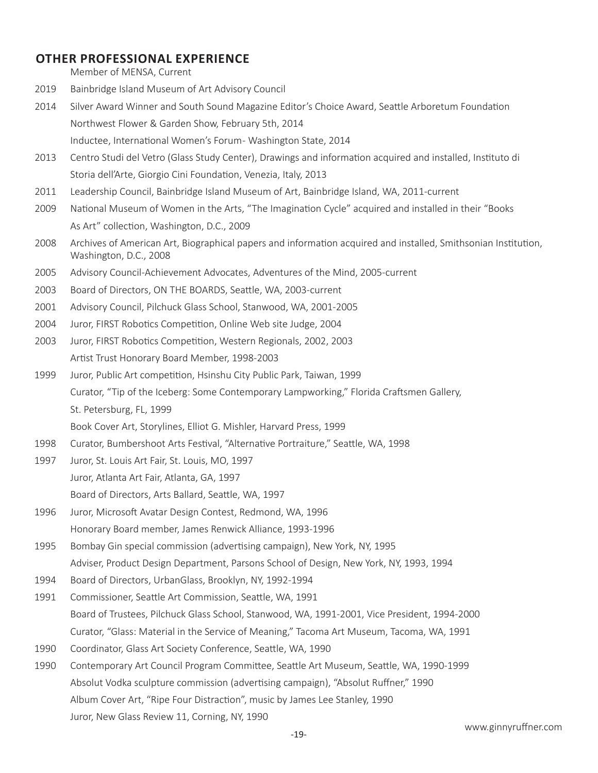## **OTHER PROFESSIONAL EXPERIENCE**

Member of MENSA, Current

- 2019 Bainbridge Island Museum of Art Advisory Council
- 2014 Silver Award Winner and South Sound Magazine Editor's Choice Award, Seattle Arboretum Foundation Northwest Flower & Garden Show, February 5th, 2014 Inductee, International Women's Forum- Washington State, 2014
- 2013 Centro Studi del Vetro (Glass Study Center), Drawings and information acquired and installed, Instituto di Storia dell'Arte, Giorgio Cini Foundation, Venezia, Italy, 2013
- 2011 Leadership Council, Bainbridge Island Museum of Art, Bainbridge Island, WA, 2011-current
- 2009 National Museum of Women in the Arts, "The Imagination Cycle" acquired and installed in their "Books As Art" collection, Washington, D.C., 2009
- 2008 Archives of American Art, Biographical papers and information acquired and installed, Smithsonian Institution, Washington, D.C., 2008
- 2005 Advisory Council-Achievement Advocates, Adventures of the Mind, 2005-current
- 2003 Board of Directors, ON THE BOARDS, Seattle, WA, 2003-current
- 2001 Advisory Council, Pilchuck Glass School, Stanwood, WA, 2001-2005
- 2004 Juror, FIRST Robotics Competition, Online Web site Judge, 2004
- 2003 Juror, FIRST Robotics Competition, Western Regionals, 2002, 2003 Artist Trust Honorary Board Member, 1998-2003
- 1999 Juror, Public Art competition, Hsinshu City Public Park, Taiwan, 1999 Curator, "Tip of the Iceberg: Some Contemporary Lampworking," Florida Craftsmen Gallery, St. Petersburg, FL, 1999

Book Cover Art, Storylines, Elliot G. Mishler, Harvard Press, 1999

- 1998 Curator, Bumbershoot Arts Festival, "Alternative Portraiture," Seattle, WA, 1998
- 1997 Juror, St. Louis Art Fair, St. Louis, MO, 1997 Juror, Atlanta Art Fair, Atlanta, GA, 1997 Board of Directors, Arts Ballard, Seattle, WA, 1997
- 1996 Juror, Microsoft Avatar Design Contest, Redmond, WA, 1996 Honorary Board member, James Renwick Alliance, 1993-1996
- 1995 Bombay Gin special commission (advertising campaign), New York, NY, 1995 Adviser, Product Design Department, Parsons School of Design, New York, NY, 1993, 1994
- 1994 Board of Directors, UrbanGlass, Brooklyn, NY, 1992-1994
- 1991 Commissioner, Seattle Art Commission, Seattle, WA, 1991 Board of Trustees, Pilchuck Glass School, Stanwood, WA, 1991-2001, Vice President, 1994-2000 Curator, "Glass: Material in the Service of Meaning," Tacoma Art Museum, Tacoma, WA, 1991
- 1990 Coordinator, Glass Art Society Conference, Seattle, WA, 1990
- 1990 Contemporary Art Council Program Committee, Seattle Art Museum, Seattle, WA, 1990-1999 Absolut Vodka sculpture commission (advertising campaign), "Absolut Ruffner," 1990 Album Cover Art, "Ripe Four Distraction", music by James Lee Stanley, 1990 Juror, New Glass Review 11, Corning, NY, 1990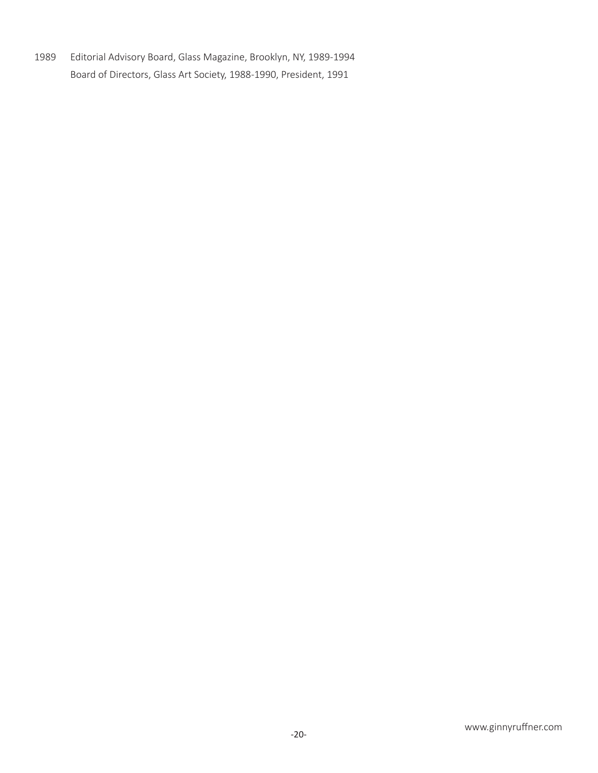1989 Editorial Advisory Board, Glass Magazine, Brooklyn, NY, 1989-1994 Board of Directors, Glass Art Society, 1988-1990, President, 1991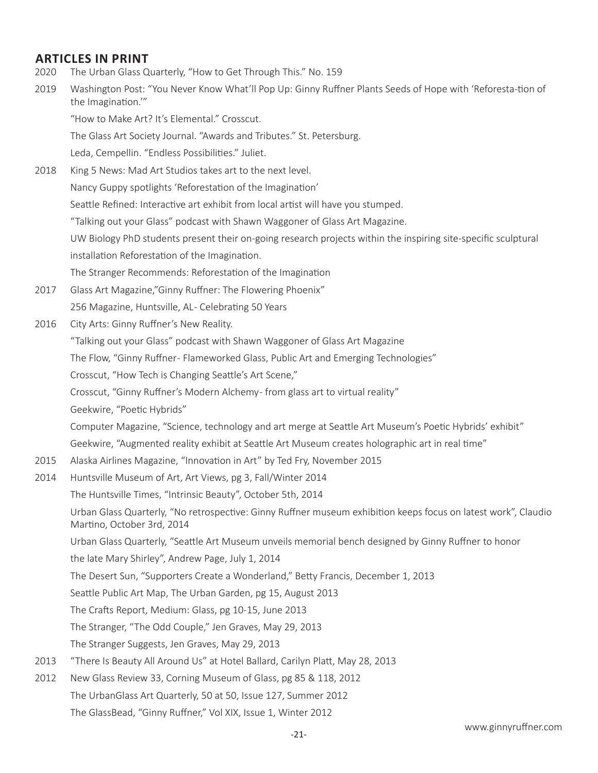# **ARTICLES IN PRINT**

- 2020 The Urban Glass Quarterly, "How to Get Through This." No. 159
- 2019 Washington Post: "You Never Know What'll Pop Up: Ginny Ruffner Plants Seeds of Hope with 'Reforesta-tion of the Imagination.'"

"How to Make Art? It's Elemental." Crosscut.

The Glass Art Society Journal. "Awards and Tributes." St. Petersburg.

Leda, Cempellin. "Endless Possibilities." Juliet.

2018 King 5 News: Mad Art Studios takes art to the next level.

Nancy Guppy spotlights 'Reforestation of the Imagination'

Seattle Refined: Interactive art exhibit from local artist will have you stumped.

"Talking out your Glass" podcast with Shawn Waggoner of Glass Art Magazine.

UW Biology PhD students present their on-going research projects within the inspiring site-specific sculptural installation Reforestation of the Imagination.

The Stranger Recommends: Reforestation of the Imagination

2017 Glass Art Magazine,"Ginny Ruffner: The Flowering Phoenix"

256 Magazine, Huntsville, AL- Celebrating 50 Years

2016 City Arts: Ginny Ruffner's New Reality.

"Talking out your Glass" podcast with Shawn Waggoner of Glass Art Magazine

The Flow, "Ginny Ruffner- Flameworked Glass, Public Art and Emerging Technologies"

Crosscut, "How Tech is Changing Seattle's Art Scene,"

Crosscut, "Ginny Ruffner's Modern Alchemy - from glass art to virtual reality"

Geekwire, "Poetic Hybrids"

Computer Magazine, "Science, technology and art merge at Seattle Art Museum's Poetic Hybrids' exhibit"

Geekwire, "Augmented reality exhibit at Seattle Art Museum creates holographic art in real time"

- 2015 Alaska Airlines Magazine, "Innovation in Art" by Ted Fry, November 2015
- 2014 Huntsville Museum of Art, Art Views, pg 3, Fall/Winter 2014

The Huntsville Times, "Intrinsic Beauty", October 5th, 2014

Urban Glass Quarterly, "No retrospective: Ginny Ruffner museum exhibition keeps focus on latest work", Claudio Martino, October 3rd, 2014

Urban Glass Quarterly, "Seattle Art Museum unveils memorial bench designed by Ginny Ruffner to honor

the late Mary Shirley", Andrew Page, July 1, 2014

The Desert Sun, "Supporters Create a Wonderland," Betty Francis, December 1, 2013

Seattle Public Art Map, The Urban Garden, pg 15, August 2013

The Crafts Report, Medium: Glass, pg 10-15, June 2013

The Stranger, "The Odd Couple," Jen Graves, May 29, 2013

The Stranger Suggests, Jen Graves, May 29, 2013

- 2013 "There Is Beauty All Around Us" at Hotel Ballard, Carilyn Platt, May 28, 2013
- 2012 New Glass Review 33, Corning Museum of Glass, pg 85 & 118, 2012 The UrbanGlass Art Quarterly, 50 at 50, Issue 127, Summer 2012 The GlassBead, "Ginny Ruffner," Vol XIX, Issue 1, Winter 2012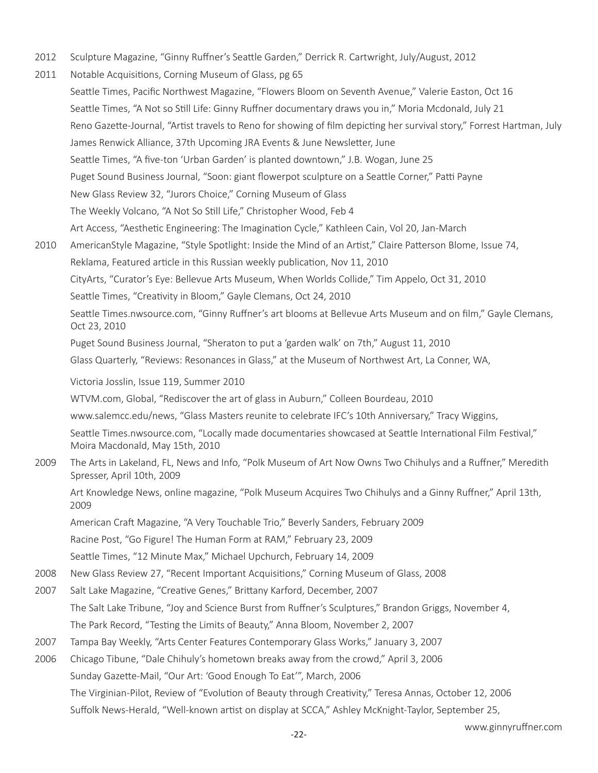- 2012 Sculpture Magazine, "Ginny Ruffner's Seattle Garden," Derrick R. Cartwright, July/August, 2012
- 2011 Notable Acquisitions, Corning Museum of Glass, pg 65 Seattle Times, Pacific Northwest Magazine, "Flowers Bloom on Seventh Avenue," Valerie Easton, Oct 16 Seattle Times, "A Not so Still Life: Ginny Ruffner documentary draws you in," Moria Mcdonald, July 21 Reno Gazette-Journal, "Artist travels to Reno for showing of film depicting her survival story," Forrest Hartman, July James Renwick Alliance, 37th Upcoming JRA Events & June Newsletter, June Seattle Times, "A five-ton 'Urban Garden' is planted downtown," J.B. Wogan, June 25 Puget Sound Business Journal, "Soon: giant flowerpot sculpture on a Seattle Corner," Patti Payne New Glass Review 32, "Jurors Choice," Corning Museum of Glass The Weekly Volcano, "A Not So Still Life," Christopher Wood, Feb 4 Art Access, "Aesthetic Engineering: The Imagination Cycle," Kathleen Cain, Vol 20, Jan-March 2010 AmericanStyle Magazine, "Style Spotlight: Inside the Mind of an Artist," Claire Patterson Blome, Issue 74, Reklama, Featured article in this Russian weekly publication, Nov 11, 2010 CityArts, "Curator's Eye: Bellevue Arts Museum, When Worlds Collide," Tim Appelo, Oct 31, 2010 Seattle Times, "Creativity in Bloom," Gayle Clemans, Oct 24, 2010 Seattle Times.nwsource.com, "Ginny Ruffner's art blooms at Bellevue Arts Museum and on film," Gayle Clemans, Oct 23, 2010 Puget Sound Business Journal, "Sheraton to put a 'garden walk' on 7th," August 11, 2010 Glass Quarterly, "Reviews: Resonances in Glass," at the Museum of Northwest Art, La Conner, WA, Victoria Josslin, Issue 119, Summer 2010 WTVM.com, Global, "Rediscover the art of glass in Auburn," Colleen Bourdeau, 2010 www.salemcc.edu/news, "Glass Masters reunite to celebrate IFC's 10th Anniversary," Tracy Wiggins, Seattle Times.nwsource.com, "Locally made documentaries showcased at Seattle International Film Festival," Moira Macdonald, May 15th, 2010 2009 The Arts in Lakeland, FL, News and Info, "Polk Museum of Art Now Owns Two Chihulys and a Ruffner," Meredith Spresser, April 10th, 2009 Art Knowledge News, online magazine, "Polk Museum Acquires Two Chihulys and a Ginny Ruffner," April 13th, 2009 American Craft Magazine, "A Very Touchable Trio," Beverly Sanders, February 2009 Racine Post, "Go Figure! The Human Form at RAM," February 23, 2009 Seattle Times, "12 Minute Max," Michael Upchurch, February 14, 2009 2008 New Glass Review 27, "Recent Important Acquisitions," Corning Museum of Glass, 2008 2007 Salt Lake Magazine, "Creative Genes," Brittany Karford, December, 2007 The Salt Lake Tribune, "Joy and Science Burst from Ruffner's Sculptures," Brandon Griggs, November 4, The Park Record, "Testing the Limits of Beauty," Anna Bloom, November 2, 2007 2007 Tampa Bay Weekly, "Arts Center Features Contemporary Glass Works," January 3, 2007 2006 Chicago Tibune, "Dale Chihuly's hometown breaks away from the crowd," April 3, 2006 Sunday Gazette-Mail, "Our Art: 'Good Enough To Eat'", March, 2006 The Virginian-Pilot, Review of "Evolution of Beauty through Creativity," Teresa Annas, October 12, 2006 Suffolk News-Herald, "Well-known artist on display at SCCA," Ashley McKnight-Taylor, September 25,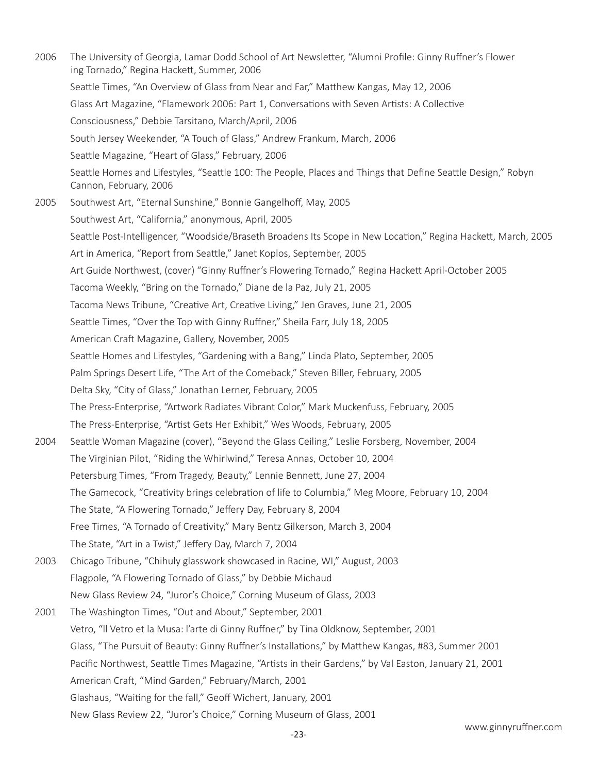2006 The University of Georgia, Lamar Dodd School of Art Newsletter, "Alumni Profile: Ginny Ruffner's Flower ing Tornado," Regina Hackett, Summer, 2006 Seattle Times, "An Overview of Glass from Near and Far," Matthew Kangas, May 12, 2006 Glass Art Magazine, "Flamework 2006: Part 1, Conversations with Seven Artists: A Collective Consciousness," Debbie Tarsitano, March/April, 2006 South Jersey Weekender, "A Touch of Glass," Andrew Frankum, March, 2006 Seattle Magazine, "Heart of Glass," February, 2006 Seattle Homes and Lifestyles, "Seattle 100: The People, Places and Things that Define Seattle Design," Robyn Cannon, February, 2006 2005 Southwest Art, "Eternal Sunshine," Bonnie Gangelhoff, May, 2005 Southwest Art, "California," anonymous, April, 2005 Seattle Post-Intelligencer, "Woodside/Braseth Broadens Its Scope in New Location," Regina Hackett, March, 2005 Art in America, "Report from Seattle," Janet Koplos, September, 2005 Art Guide Northwest, (cover) "Ginny Ruffner's Flowering Tornado," Regina Hackett April-October 2005 Tacoma Weekly, "Bring on the Tornado," Diane de la Paz, July 21, 2005 Tacoma News Tribune, "Creative Art, Creative Living," Jen Graves, June 21, 2005 Seattle Times, "Over the Top with Ginny Ruffner," Sheila Farr, July 18, 2005 American Craft Magazine, Gallery, November, 2005 Seattle Homes and Lifestyles, "Gardening with a Bang," Linda Plato, September, 2005 Palm Springs Desert Life, "The Art of the Comeback," Steven Biller, February, 2005 Delta Sky, "City of Glass," Jonathan Lerner, February, 2005 The Press-Enterprise, "Artwork Radiates Vibrant Color," Mark Muckenfuss, February, 2005 The Press-Enterprise, "Artist Gets Her Exhibit," Wes Woods, February, 2005 2004 Seattle Woman Magazine (cover), "Beyond the Glass Ceiling," Leslie Forsberg, November, 2004 The Virginian Pilot, "Riding the Whirlwind," Teresa Annas, October 10, 2004 Petersburg Times, "From Tragedy, Beauty," Lennie Bennett, June 27, 2004 The Gamecock, "Creativity brings celebration of life to Columbia," Meg Moore, February 10, 2004 The State, "A Flowering Tornado," Jeffery Day, February 8, 2004 Free Times, "A Tornado of Creativity," Mary Bentz Gilkerson, March 3, 2004 The State, "Art in a Twist," Jeffery Day, March 7, 2004 2003 Chicago Tribune, "Chihuly glasswork showcased in Racine, WI," August, 2003 Flagpole, "A Flowering Tornado of Glass," by Debbie Michaud New Glass Review 24, "Juror's Choice," Corning Museum of Glass, 2003 2001 The Washington Times, "Out and About," September, 2001 Vetro, "ll Vetro et la Musa: l'arte di Ginny Ruffner," by Tina Oldknow, September, 2001 Glass, "The Pursuit of Beauty: Ginny Ruffner's Installations," by Matthew Kangas, #83, Summer 2001 Pacific Northwest, Seattle Times Magazine, "Artists in their Gardens," by Val Easton, January 21, 2001 American Craft, "Mind Garden," February/March, 2001 Glashaus, "Waiting for the fall," Geoff Wichert, January, 2001 New Glass Review 22, "Juror's Choice," Corning Museum of Glass, 2001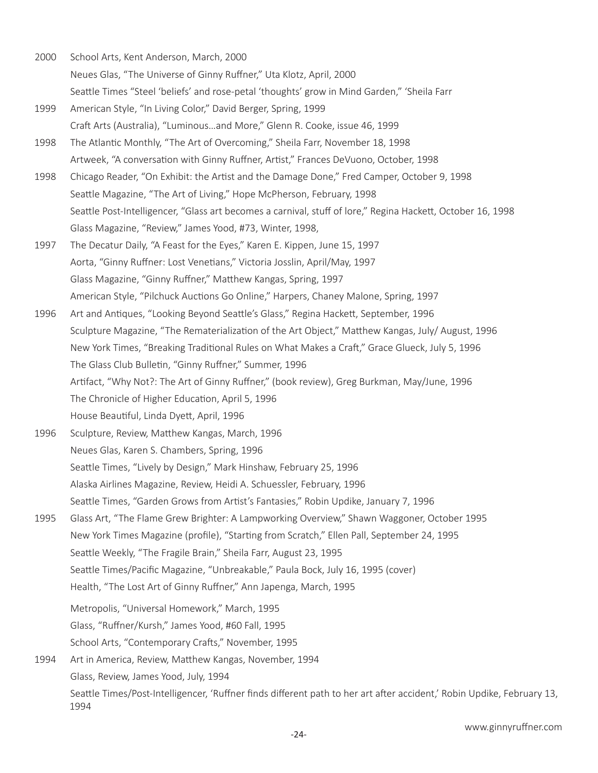- 2000 School Arts, Kent Anderson, March, 2000 Neues Glas, "The Universe of Ginny Ruffner," Uta Klotz, April, 2000 Seattle Times "Steel 'beliefs' and rose-petal 'thoughts' grow in Mind Garden," 'Sheila Farr
- 1999 American Style, "In Living Color," David Berger, Spring, 1999 Craft Arts (Australia), "Luminous…and More," Glenn R. Cooke, issue 46, 1999
- 1998 The Atlantic Monthly, "The Art of Overcoming," Sheila Farr, November 18, 1998 Artweek, "A conversation with Ginny Ruffner, Artist," Frances DeVuono, October, 1998
- 1998 Chicago Reader, "On Exhibit: the Artist and the Damage Done," Fred Camper, October 9, 1998 Seattle Magazine, "The Art of Living," Hope McPherson, February, 1998 Seattle Post-Intelligencer, "Glass art becomes a carnival, stuff of lore," Regina Hackett, October 16, 1998 Glass Magazine, "Review," James Yood, #73, Winter, 1998,
- 1997 The Decatur Daily, "A Feast for the Eyes," Karen E. Kippen, June 15, 1997 Aorta, "Ginny Ruffner: Lost Venetians," Victoria Josslin, April/May, 1997 Glass Magazine, "Ginny Ruffner," Matthew Kangas, Spring, 1997 American Style, "Pilchuck Auctions Go Online," Harpers, Chaney Malone, Spring, 1997
- 1996 Art and Antiques, "Looking Beyond Seattle's Glass," Regina Hackett, September, 1996 Sculpture Magazine, "The Rematerialization of the Art Object," Matthew Kangas, July/ August, 1996 New York Times, "Breaking Traditional Rules on What Makes a Craft," Grace Glueck, July 5, 1996 The Glass Club Bulletin, "Ginny Ruffner," Summer, 1996 Artifact, "Why Not?: The Art of Ginny Ruffner," (book review), Greg Burkman, May/June, 1996 The Chronicle of Higher Education, April 5, 1996 House Beautiful, Linda Dyett, April, 1996
- 1996 Sculpture, Review, Matthew Kangas, March, 1996 Neues Glas, Karen S. Chambers, Spring, 1996 Seattle Times, "Lively by Design," Mark Hinshaw, February 25, 1996 Alaska Airlines Magazine, Review, Heidi A. Schuessler, February, 1996 Seattle Times, "Garden Grows from Artist's Fantasies," Robin Updike, January 7, 1996
- 1995 Glass Art, "The Flame Grew Brighter: A Lampworking Overview," Shawn Waggoner, October 1995 New York Times Magazine (profile), "Starting from Scratch," Ellen Pall, September 24, 1995 Seattle Weekly, "The Fragile Brain," Sheila Farr, August 23, 1995 Seattle Times/Pacific Magazine, "Unbreakable," Paula Bock, July 16, 1995 (cover) Health, "The Lost Art of Ginny Ruffner," Ann Japenga, March, 1995
	- Metropolis, "Universal Homework," March, 1995
	- Glass, "Ruffner/Kursh," James Yood, #60 Fall, 1995
	- School Arts, "Contemporary Crafts," November, 1995
- 1994 Art in America, Review, Matthew Kangas, November, 1994 Glass, Review, James Yood, July, 1994 Seattle Times/Post-Intelligencer, 'Ruffner finds different path to her art after accident,' Robin Updike, February 13, 1994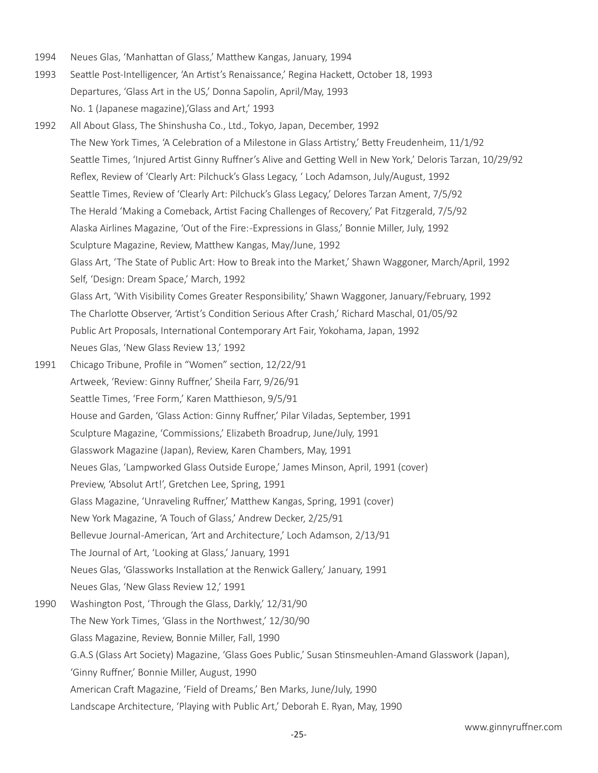1994 Neues Glas, 'Manhattan of Glass,' Matthew Kangas, January, 1994

1992 All About Glass, The Shinshusha Co., Ltd., Tokyo, Japan, December, 1992

- 1993 Seattle Post-Intelligencer, 'An Artist's Renaissance,' Regina Hackett, October 18, 1993 Departures, 'Glass Art in the US,' Donna Sapolin, April/May, 1993 No. 1 (Japanese magazine),'Glass and Art,' 1993
- The New York Times, 'A Celebration of a Milestone in Glass Artistry,' Betty Freudenheim, 11/1/92 Seattle Times, 'Injured Artist Ginny Ruffner's Alive and Getting Well in New York,' Deloris Tarzan, 10/29/92 Reflex, Review of 'Clearly Art: Pilchuck's Glass Legacy, ' Loch Adamson, July/August, 1992 Seattle Times, Review of 'Clearly Art: Pilchuck's Glass Legacy,' Delores Tarzan Ament, 7/5/92 The Herald 'Making a Comeback, Artist Facing Challenges of Recovery,' Pat Fitzgerald, 7/5/92 Alaska Airlines Magazine, 'Out of the Fire: -Expressions in Glass,' Bonnie Miller, July, 1992 Sculpture Magazine, Review, Matthew Kangas, May/June, 1992 Glass Art, 'The State of Public Art: How to Break into the Market,' Shawn Waggoner, March/April, 1992 Self, 'Design: Dream Space,' March, 1992 Glass Art, 'With Visibility Comes Greater Responsibility,' Shawn Waggoner, January/February, 1992 The Charlotte Observer, 'Artist's Condition Serious After Crash,' Richard Maschal, 01/05/92 Public Art Proposals, International Contemporary Art Fair, Yokohama, Japan, 1992 Neues Glas, 'New Glass Review 13,' 1992 1991 Chicago Tribune, Profile in "Women" section, 12/22/91 Artweek, 'Review: Ginny Ruffner,' Sheila Farr, 9/26/91 Seattle Times, 'Free Form,' Karen Matthieson, 9/5/91 House and Garden, 'Glass Action: Ginny Ruffner,' Pilar Viladas, September, 1991 Sculpture Magazine, 'Commissions,' Elizabeth Broadrup, June/July, 1991 Glasswork Magazine (Japan), Review, Karen Chambers, May, 1991 Neues Glas, 'Lampworked Glass Outside Europe,' James Minson, April, 1991 (cover) Preview, 'Absolut Art!', Gretchen Lee, Spring, 1991 Glass Magazine, 'Unraveling Ruffner,' Matthew Kangas, Spring, 1991 (cover) New York Magazine, 'A Touch of Glass,' Andrew Decker, 2/25/91 Bellevue Journal -American, 'Art and Architecture,' Loch Adamson, 2/13/91 The Journal of Art, 'Looking at Glass,' January, 1991 Neues Glas, 'Glassworks Installation at the Renwick Gallery,' January, 1991 Neues Glas, 'New Glass Review 12,' 1991 1990 Washington Post, 'Through the Glass, Darkly,' 12/31/90 The New York Times, 'Glass in the Northwest,' 12/30/90 Glass Magazine, Review, Bonnie Miller, Fall, 1990 G.A.S (Glass Art Society) Magazine, 'Glass Goes Public,' Susan Stinsmeuhlen-Amand Glasswork (Japan), 'Ginny Ruffner,' Bonnie Miller, August, 1990 American Craft Magazine, 'Field of Dreams,' Ben Marks, June/July, 1990 Landscape Architecture, 'Playing with Public Art,' Deborah E. Ryan, May, 1990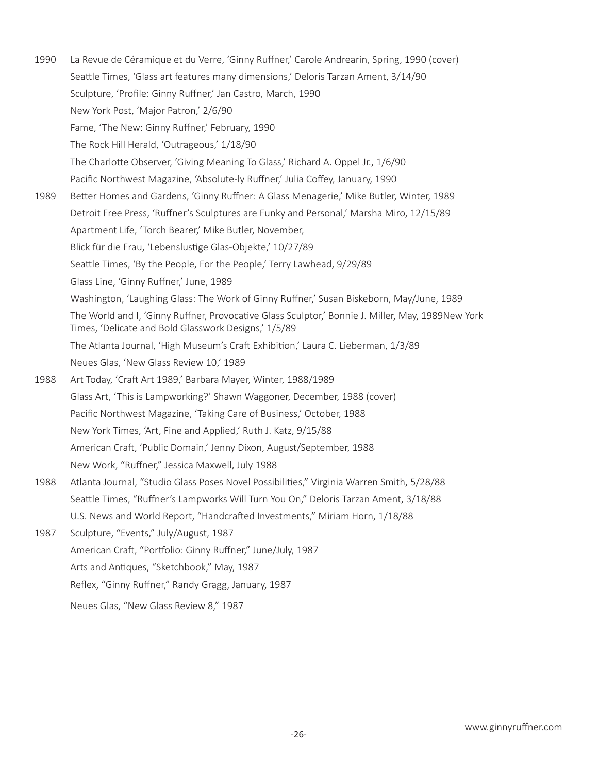1990 La Revue de Céramique et du Verre, 'Ginny Ruffner,' Carole Andrearin, Spring, 1990 (cover) Seattle Times, 'Glass art features many dimensions,' Deloris Tarzan Ament, 3/14/90 Sculpture, 'Profile: Ginny Ruffner,' Jan Castro, March, 1990 New York Post, 'Major Patron,' 2/6/90 Fame, 'The New: Ginny Ruffner,' February, 1990 The Rock Hill Herald, 'Outrageous,' 1/18/90 The Charlotte Observer, 'Giving Meaning To Glass,' Richard A. Oppel Jr., 1/6/90 Pacific Northwest Magazine, 'Absolute-ly Ruffner,' Julia Coffey, January, 1990 1989 Better Homes and Gardens, 'Ginny Ruffner: A Glass Menagerie,' Mike Butler, Winter, 1989 Detroit Free Press, 'Ruffner's Sculptures are Funky and Personal,' Marsha Miro, 12/15/89 Apartment Life, 'Torch Bearer,' Mike Butler, November, Blick für die Frau, 'Lebenslustige Glas-Objekte,' 10/27/89 Seattle Times, 'By the People, For the People,' Terry Lawhead, 9/29/89 Glass Line, 'Ginny Ruffner,' June, 1989 Washington, 'Laughing Glass: The Work of Ginny Ruffner,' Susan Biskeborn, May/June, 1989 The World and I, 'Ginny Ruffner, Provocative Glass Sculptor,' Bonnie J. Miller, May, 1989New York Times, 'Delicate and Bold Glasswork Designs,' 1/5/89 The Atlanta Journal, 'High Museum's Craft Exhibition,' Laura C. Lieberman, 1/3/89 Neues Glas, 'New Glass Review 10,' 1989 1988 Art Today, 'Craft Art 1989,' Barbara Mayer, Winter, 1988/1989 Glass Art, 'This is Lampworking?' Shawn Waggoner, December, 1988 (cover) Pacific Northwest Magazine, 'Taking Care of Business,' October, 1988 New York Times, 'Art, Fine and Applied,' Ruth J. Katz, 9/15/88 American Craft, 'Public Domain,' Jenny Dixon, August/September, 1988 New Work, "Ruffner," Jessica Maxwell, July 1988 1988 Atlanta Journal, "Studio Glass Poses Novel Possibilities," Virginia Warren Smith, 5/28/88 Seattle Times, "Ruffner's Lampworks Will Turn You On," Deloris Tarzan Ament, 3/18/88 U.S. News and World Report, "Handcrafted Investments," Miriam Horn, 1/18/88 1987 Sculpture, "Events," July/August, 1987 American Craft, "Portfolio: Ginny Ruffner," June/July, 1987 Arts and Antiques, "Sketchbook," May, 1987 Reflex, "Ginny Ruffner," Randy Gragg, January, 1987

Neues Glas, "New Glass Review 8," 1987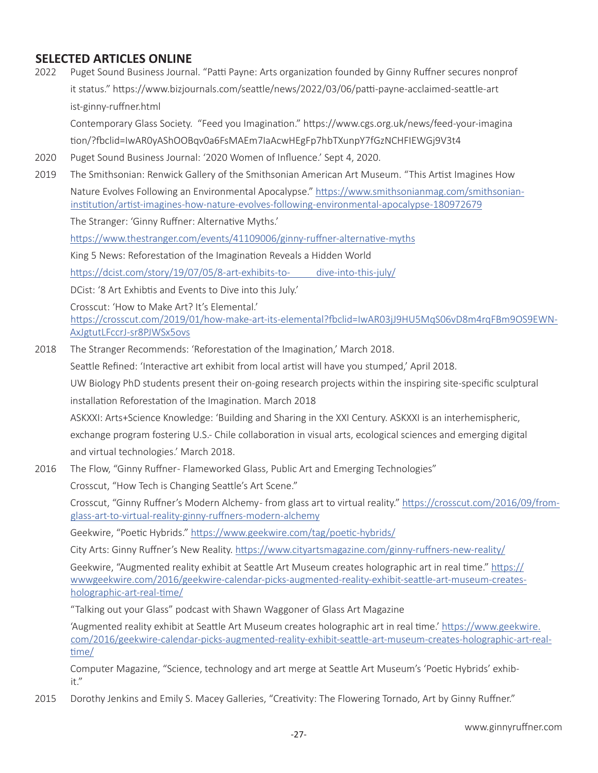## **SELECTED ARTICLES ONLINE**

2022 Puget Sound Business Journal. "Patti Payne: Arts organization founded by Ginny Ruffner secures nonprof it status." https://www.bizjournals.com/seattle/news/2022/03/06/patti-payne-acclaimed-seattle-art ist-ginny-ruffner.html

Contemporary Glass Society. "Feed you Imagination." https://www.cgs.org.uk/news/feed-your-imagina tion/?fbclid=IwAR0yAShOOBqv0a6FsMAEm7IaAcwHEgFp7hbTXunpY7fGzNCHFIEWGj9V3t4

- 2020 Puget Sound Business Journal: '2020 Women of Influence.' Sept 4, 2020.
- 2019 The Smithsonian: Renwick Gallery of the Smithsonian American Art Museum. "This Artist Imagines How Nature Evolves Following an Environmental Apocalypse." https://www.smithsonianmag.com/smithsonianinstitution/artist-imagines-how-nature-evolves-following-environmental-apocalypse-180972679

The Stranger: 'Ginny Ruffner: Alternative Myths.'

https://www.thestranger.com/events/41109006/ginny-ruffner-alternative-myths

King 5 News: Reforestation of the Imagination Reveals a Hidden World

https://dcist.com/story/19/07/05/8-art-exhibits-to- dive-into-this-july/

DCist: '8 Art Exhibtis and Events to Dive into this July.'

Crosscut: 'How to Make Art? It's Elemental.' https://crosscut.com/2019/01/how-make-art-its-elemental?fbclid=IwAR03jJ9HU5MqS06vD8m4rqFBm9OS9EWN-AxJgtutLFccrJ-sr8PJWSx5ovs

2018 The Stranger Recommends: 'Reforestation of the Imagination,' March 2018.

Seattle Refined: 'Interactive art exhibit from local artist will have you stumped,' April 2018.

UW Biology PhD students present their on-going research projects within the inspiring site-specific sculptural installation Reforestation of the Imagination. March 2018

ASKXXI: Arts+Science Knowledge: 'Building and Sharing in the XXI Century. ASKXXI is an interhemispheric,

exchange program fostering U.S.- Chile collaboration in visual arts, ecological sciences and emerging digital and virtual technologies.' March 2018.

2016 The Flow, "Ginny Ruffner - Flameworked Glass, Public Art and Emerging Technologies"

Crosscut, "How Tech is Changing Seattle's Art Scene."

Crosscut, "Ginny Ruffner's Modern Alchemy - from glass art to virtual reality." https://crosscut.com/2016/09/fromglass-art-to-virtual-reality-ginny-ruffners-modern-alchemy

Geekwire, "Poetic Hybrids." https://www.geekwire.com/tag/poetic-hybrids/

City Arts: Ginny Ruffner's New Reality. https://www.cityartsmagazine.com/ginny-ruffners-new-reality/

Geekwire, "Augmented reality exhibit at Seattle Art Museum creates holographic art in real time." https:// wwwgeekwire.com/2016/geekwire-calendar-picks-augmented-reality-exhibit-seattle-art-museum-createsholographic-art-real-time/

"Talking out your Glass" podcast with Shawn Waggoner of Glass Art Magazine

'Augmented reality exhibit at Seattle Art Museum creates holographic art in real time.' https://www.geekwire. com/2016/geekwire-calendar-picks-augmented-reality-exhibit-seattle-art-museum-creates-holographic-art-realtime/

Computer Magazine, "Science, technology and art merge at Seattle Art Museum's 'Poetic Hybrids' exhibit."

2015 Dorothy Jenkins and Emily S. Macey Galleries, "Creativity: The Flowering Tornado, Art by Ginny Ruffner."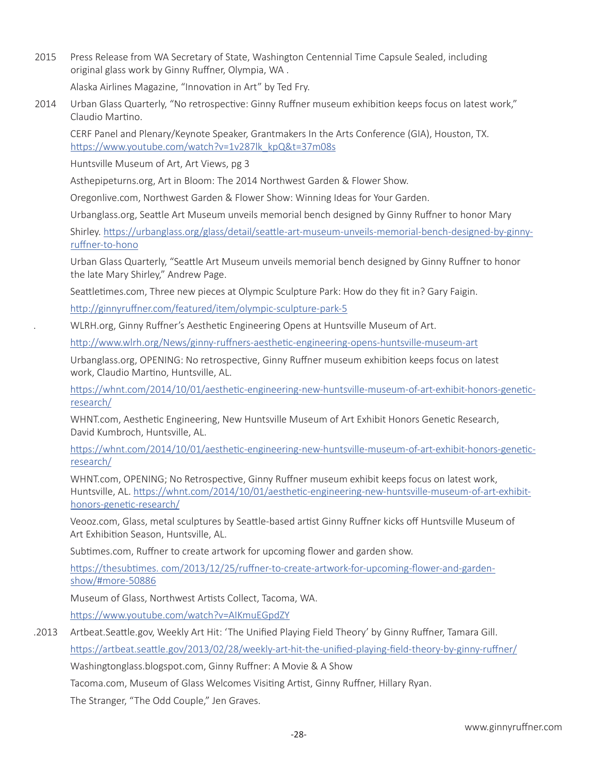2015 Press Release from WA Secretary of State, Washington Centennial Time Capsule Sealed, including original glass work by Ginny Ruffner, Olympia, WA .

Alaska Airlines Magazine, "Innovation in Art" by Ted Fry.

2014 Urban Glass Quarterly, "No retrospective: Ginny Ruffner museum exhibition keeps focus on latest work," Claudio Martino.

CERF Panel and Plenary/Keynote Speaker, Grantmakers In the Arts Conference (GIA), Houston, TX. https://www.youtube.com/watch?v=1v287lk\_kpQ&t=37m08s

Huntsville Museum of Art, Art Views, pg 3

Asthepipeturns.org, Art in Bloom: The 2014 Northwest Garden & Flower Show.

Oregonlive.com, Northwest Garden & Flower Show: Winning Ideas for Your Garden.

Urbanglass.org, Seattle Art Museum unveils memorial bench designed by Ginny Ruffner to honor Mary

Shirley. https://urbanglass.org/glass/detail/seattle-art-museum-unveils-memorial-bench-designed-by-ginnyruffner-to-hono

Urban Glass Quarterly, "Seattle Art Museum unveils memorial bench designed by Ginny Ruffner to honor the late Mary Shirley," Andrew Page.

Seattletimes.com, Three new pieces at Olympic Sculpture Park: How do they fit in? Gary Faigin.

http://ginnyruffner.com/featured/item/olympic-sculpture-park-5

. WLRH.org, Ginny Ruffner's Aesthetic Engineering Opens at Huntsville Museum of Art.

http://www.wlrh.org/News/ginny-ruffners-aesthetic-engineering-opens-huntsville-museum-art

Urbanglass.org, OPENING: No retrospective, Ginny Ruffner museum exhibition keeps focus on latest work, Claudio Martino, Huntsville, AL.

 https://whnt.com/2014/10/01/aesthetic-engineering-new-huntsville-museum-of-art-exhibit-honors-geneticresearch/

WHNT.com, Aesthetic Engineering, New Huntsville Museum of Art Exhibit Honors Genetic Research, David Kumbroch, Huntsville, AL.

 https://whnt.com/2014/10/01/aesthetic-engineering-new-huntsville-museum-of-art-exhibit-honors-geneticresearch/

WHNT.com, OPENING; No Retrospective, Ginny Ruffner museum exhibit keeps focus on latest work, Huntsville, AL. https://whnt.com/2014/10/01/aesthetic-engineering-new-huntsville-museum-of-art-exhibithonors-genetic-research/

Veooz.com, Glass, metal sculptures by Seattle-based artist Ginny Ruffner kicks off Huntsville Museum of Art Exhibition Season, Huntsville, AL.

Subtimes.com, Ruffner to create artwork for upcoming flower and garden show.

https://thesubtimes. com/2013/12/25/ruffner-to-create-artwork-for-upcoming-flower-and-gardenshow/#more-50886

Museum of Glass, Northwest Artists Collect, Tacoma, WA.

https://www.youtube.com/watch?v=AIKmuEGpdZY

.2013 Artbeat.Seattle.gov, Weekly Art Hit: 'The Unified Playing Field Theory' by Ginny Ruffner, Tamara Gill.

https://artbeat.seattle.gov/2013/02/28/weekly-art-hit-the-unified-playing-field-theory-by-ginny-ruffner/

Washingtonglass.blogspot.com, Ginny Ruffner: A Movie & A Show

Tacoma.com, Museum of Glass Welcomes Visiting Artist, Ginny Ruffner, Hillary Ryan.

The Stranger, "The Odd Couple," Jen Graves.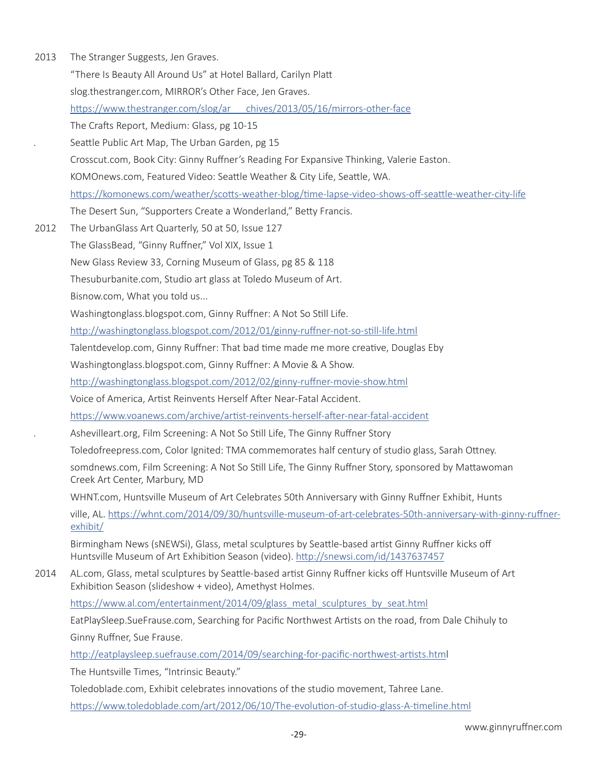| 2013                 | The Stranger Suggests, Jen Graves.                                                                                                                                                       |
|----------------------|------------------------------------------------------------------------------------------------------------------------------------------------------------------------------------------|
|                      | "There Is Beauty All Around Us" at Hotel Ballard, Carilyn Platt                                                                                                                          |
|                      | slog.thestranger.com, MIRROR's Other Face, Jen Graves.                                                                                                                                   |
|                      | https://www.thestranger.com/slog/ar chives/2013/05/16/mirrors-other-face                                                                                                                 |
|                      | The Crafts Report, Medium: Glass, pg 10-15                                                                                                                                               |
| $\ddot{\phantom{0}}$ | Seattle Public Art Map, The Urban Garden, pg 15                                                                                                                                          |
|                      | Crosscut.com, Book City: Ginny Ruffner's Reading For Expansive Thinking, Valerie Easton.                                                                                                 |
|                      | KOMOnews.com, Featured Video: Seattle Weather & City Life, Seattle, WA.                                                                                                                  |
|                      | https://komonews.com/weather/scotts-weather-blog/time-lapse-video-shows-off-seattle-weather-city-life                                                                                    |
|                      | The Desert Sun, "Supporters Create a Wonderland," Betty Francis.                                                                                                                         |
| 2012                 | The UrbanGlass Art Quarterly, 50 at 50, Issue 127                                                                                                                                        |
|                      | The GlassBead, "Ginny Ruffner," Vol XIX, Issue 1                                                                                                                                         |
|                      | New Glass Review 33, Corning Museum of Glass, pg 85 & 118                                                                                                                                |
|                      | Thesuburbanite.com, Studio art glass at Toledo Museum of Art.                                                                                                                            |
|                      | Bisnow.com, What you told us                                                                                                                                                             |
|                      | Washingtonglass.blogspot.com, Ginny Ruffner: A Not So Still Life.                                                                                                                        |
|                      | http://washingtonglass.blogspot.com/2012/01/ginny-ruffner-not-so-still-life.html                                                                                                         |
|                      | Talentdevelop.com, Ginny Ruffner: That bad time made me more creative, Douglas Eby                                                                                                       |
|                      | Washingtonglass.blogspot.com, Ginny Ruffner: A Movie & A Show.                                                                                                                           |
|                      | http://washingtonglass.blogspot.com/2012/02/ginny-ruffner-movie-show.html                                                                                                                |
|                      | Voice of America, Artist Reinvents Herself After Near-Fatal Accident.                                                                                                                    |
|                      | https://www.voanews.com/archive/artist-reinvents-herself-after-near-fatal-accident                                                                                                       |
| $\cdot$              | Ashevilleart.org, Film Screening: A Not So Still Life, The Ginny Ruffner Story                                                                                                           |
|                      | Toledofreepress.com, Color Ignited: TMA commemorates half century of studio glass, Sarah Ottney.                                                                                         |
|                      | somdnews.com, Film Screening: A Not So Still Life, The Ginny Ruffner Story, sponsored by Mattawoman<br>Creek Art Center, Marbury, MD                                                     |
|                      | WHNT.com, Huntsville Museum of Art Celebrates 50th Anniversary with Ginny Ruffner Exhibit, Hunts                                                                                         |
|                      | ville, AL. https://whnt.com/2014/09/30/huntsville-museum-of-art-celebrates-50th-anniversary-with-ginny-ruffner-<br>exhibit/                                                              |
|                      | Birmingham News (sNEWSi), Glass, metal sculptures by Seattle-based artist Ginny Ruffner kicks off<br>Huntsville Museum of Art Exhibition Season (video). http://snewsi.com/id/1437637457 |
| 2014                 | AL.com, Glass, metal sculptures by Seattle-based artist Ginny Ruffner kicks off Huntsville Museum of Art<br>Exhibition Season (slideshow + video), Amethyst Holmes.                      |
|                      | https://www.al.com/entertainment/2014/09/glass metal sculptures by seat.html                                                                                                             |
|                      | EatPlaySleep.SueFrause.com, Searching for Pacific Northwest Artists on the road, from Dale Chihuly to                                                                                    |
|                      | Ginny Ruffner, Sue Frause.                                                                                                                                                               |
|                      | http://eatplaysleep.suefrause.com/2014/09/searching-for-pacific-northwest-artists.html                                                                                                   |
|                      | The Huntsville Times, "Intrinsic Beauty."                                                                                                                                                |
|                      | Toledoblade.com, Exhibit celebrates innovations of the studio movement, Tahree Lane.                                                                                                     |
|                      | https://www.toledoblade.com/art/2012/06/10/The-evolution-of-studio-glass-A-timeline.html                                                                                                 |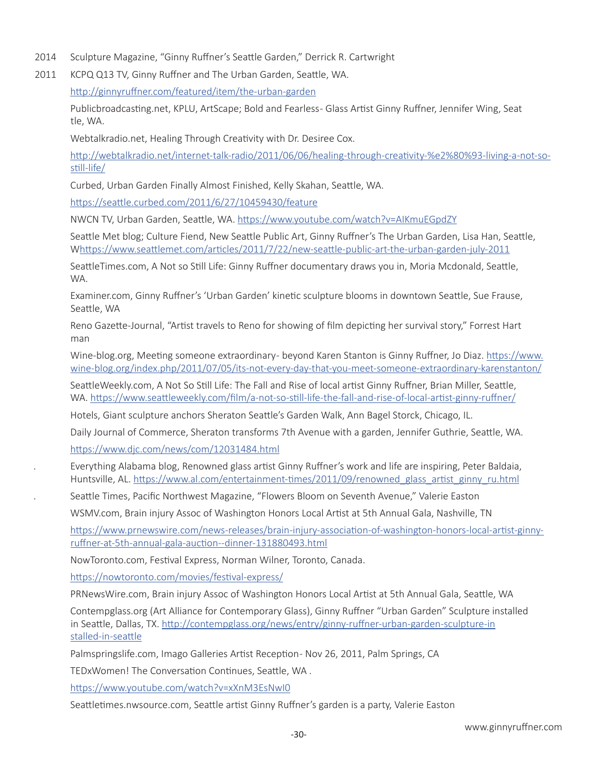- 2014 Sculpture Magazine, "Ginny Ruffner's Seattle Garden," Derrick R. Cartwright
- 2011 KCPQ Q13 TV, Ginny Ruffner and The Urban Garden, Seattle, WA.

http://ginnyruffner.com/featured/item/the-urban-garden

Publicbroadcasting.net, KPLU, ArtScape; Bold and Fearless- Glass Artist Ginny Ruffner, Jennifer Wing, Seat tle, WA.

Webtalkradio.net, Healing Through Creativity with Dr. Desiree Cox.

 http://webtalkradio.net/internet-talk-radio/2011/06/06/healing-through-creativity-%e2%80%93-living-a-not-sostill-life/

Curbed, Urban Garden Finally Almost Finished, Kelly Skahan, Seattle, WA.

https://seattle.curbed.com/2011/6/27/10459430/feature

NWCN TV, Urban Garden, Seattle, WA. https://www.youtube.com/watch?v=AIKmuEGpdZY

Seattle Met blog; Culture Fiend, New Seattle Public Art, Ginny Ruffner's The Urban Garden, Lisa Han, Seattle, Whttps://www.seattlemet.com/articles/2011/7/22/new-seattle-public-art-the-urban-garden-july-2011

SeattleTimes.com, A Not so Still Life: Ginny Ruffner documentary draws you in, Moria Mcdonald, Seattle, WA.

Examiner.com, Ginny Ruffner's 'Urban Garden' kinetic sculpture blooms in downtown Seattle, Sue Frause, Seattle, WA

Reno Gazette-Journal, "Artist travels to Reno for showing of film depicting her survival story," Forrest Hart man

Wine-blog.org, Meeting someone extraordinary- beyond Karen Stanton is Ginny Ruffner, Jo Diaz. https://www. wine-blog.org/index.php/2011/07/05/its-not-every-day-that-you-meet-someone-extraordinary-karenstanton/

SeattleWeekly.com, A Not So Still Life: The Fall and Rise of local artist Ginny Ruffner, Brian Miller, Seattle, WA. https://www.seattleweekly.com/film/a-not-so-still-life-the-fall-and-rise-of-local-artist-ginny-ruffner/

Hotels, Giant sculpture anchors Sheraton Seattle's Garden Walk, Ann Bagel Storck, Chicago, IL.

Daily Journal of Commerce, Sheraton transforms 7th Avenue with a garden, Jennifer Guthrie, Seattle, WA.

https://www.djc.com/news/com/12031484.html

. Everything Alabama blog, Renowned glass artist Ginny Ruffner's work and life are inspiring, Peter Baldaia, Huntsville, AL. https://www.al.com/entertainment-times/2011/09/renowned\_glass\_artist\_ginny\_ru.html

. Seattle Times, Pacific Northwest Magazine, "Flowers Bloom on Seventh Avenue," Valerie Easton

WSMV.com, Brain injury Assoc of Washington Honors Local Artist at 5th Annual Gala, Nashville, TN

 https://www.prnewswire.com/news-releases/brain-injury-association-of-washington-honors-local-artist-ginnyruffner-at-5th-annual-gala-auction--dinner-131880493.html

NowToronto.com, Festival Express, Norman Wilner, Toronto, Canada.

https://nowtoronto.com/movies/festival-express/

PRNewsWire.com, Brain injury Assoc of Washington Honors Local Artist at 5th Annual Gala, Seattle, WA

Contempglass.org (Art Alliance for Contemporary Glass), Ginny Ruffner "Urban Garden" Sculpture installed in Seattle, Dallas, TX. http://contempglass.org/news/entry/ginny-ruffner-urban-garden-sculpture-in stalled-in-seattle

Palmspringslife.com, Imago Galleries Artist Reception - Nov 26, 2011, Palm Springs, CA

TEDxWomen! The Conversation Continues, Seattle, WA .

https://www.youtube.com/watch?v=xXnM3EsNwI0

Seattletimes.nwsource.com, Seattle artist Ginny Ruffner's garden is a party, Valerie Easton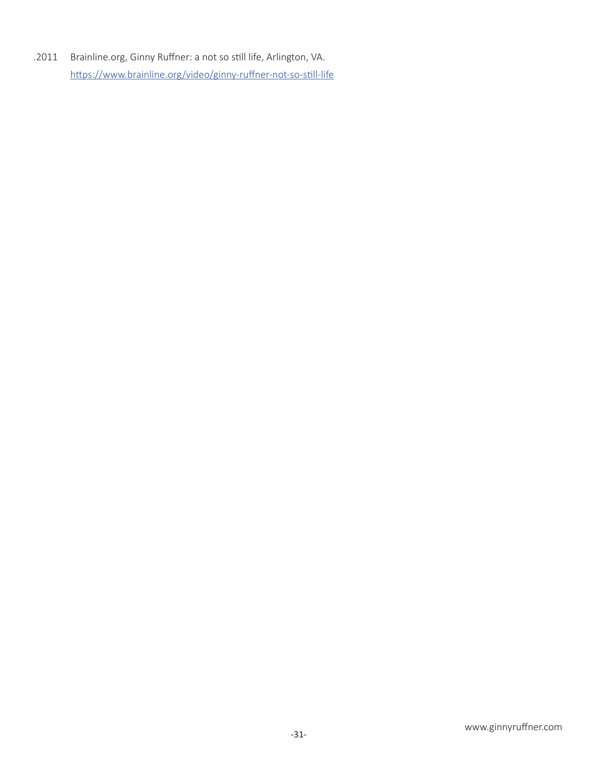.2011 Brainline.org, Ginny Ruffner: a not so still life, Arlington, VA. https://www.brainline.org/video/ginny-ruffner-not-so-still-life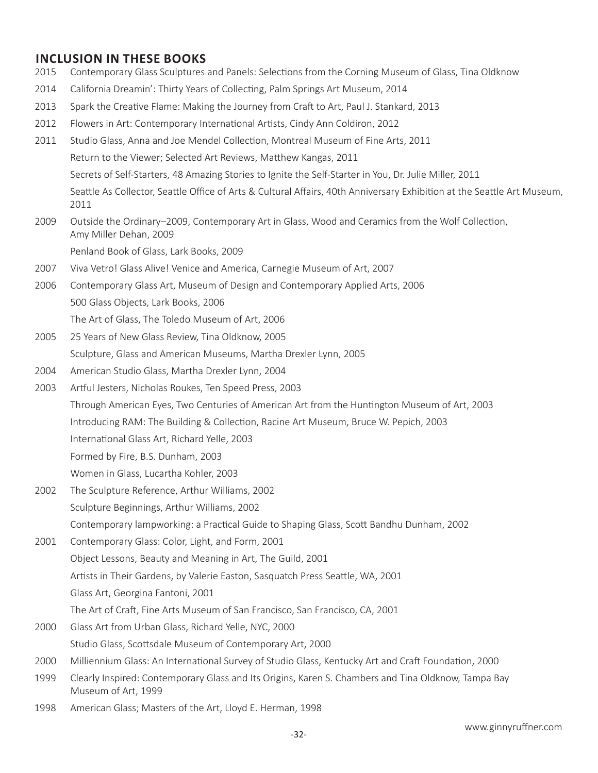# **INCLUSION IN THESE BOOKS**

- 2015 Contemporary Glass Sculptures and Panels: Selections from the Corning Museum of Glass, Tina Oldknow
- 2014 California Dreamin': Thirty Years of Collecting, Palm Springs Art Museum, 2014
- 2013 Spark the Creative Flame: Making the Journey from Craft to Art, Paul J. Stankard, 2013
- 2012 Flowers in Art: Contemporary International Artists, Cindy Ann Coldiron, 2012
- 2011 Studio Glass, Anna and Joe Mendel Collection, Montreal Museum of Fine Arts, 2011 Return to the Viewer; Selected Art Reviews, Matthew Kangas, 2011 Secrets of Self-Starters, 48 Amazing Stories to Ignite the Self-Starter in You, Dr. Julie Miller, 2011 Seattle As Collector, Seattle Office of Arts & Cultural Affairs, 40th Anniversary Exhibition at the Seattle Art Museum, 2011
- 2009 Outside the Ordinary–2009, Contemporary Art in Glass, Wood and Ceramics from the Wolf Collection, Amy Miller Dehan, 2009

Penland Book of Glass, Lark Books, 2009

- 2007 Viva Vetro! Glass Alive! Venice and America, Carnegie Museum of Art, 2007
- 2006 Contemporary Glass Art, Museum of Design and Contemporary Applied Arts, 2006 500 Glass Objects, Lark Books, 2006 The Art of Glass, The Toledo Museum of Art, 2006
- 2005 25 Years of New Glass Review, Tina Oldknow, 2005 Sculpture, Glass and American Museums, Martha Drexler Lynn, 2005
- 2004 American Studio Glass, Martha Drexler Lynn, 2004
- 2003 Artful Jesters, Nicholas Roukes, Ten Speed Press, 2003 Through American Eyes, Two Centuries of American Art from the Huntington Museum of Art, 2003 Introducing RAM: The Building & Collection, Racine Art Museum, Bruce W. Pepich, 2003 International Glass Art, Richard Yelle, 2003 Formed by Fire, B.S. Dunham, 2003 Women in Glass, Lucartha Kohler, 2003
- 2002 The Sculpture Reference, Arthur Williams, 2002 Sculpture Beginnings, Arthur Williams, 2002 Contemporary lampworking: a Practical Guide to Shaping Glass, Scott Bandhu Dunham, 2002
- 2001 Contemporary Glass: Color, Light, and Form, 2001 Object Lessons, Beauty and Meaning in Art, The Guild, 2001 Artists in Their Gardens, by Valerie Easton, Sasquatch Press Seattle, WA, 2001 Glass Art, Georgina Fantoni, 2001 The Art of Craft, Fine Arts Museum of San Francisco, San Francisco, CA, 2001 2000 Glass Art from Urban Glass, Richard Yelle, NYC, 2000 Studio Glass, Scottsdale Museum of Contemporary Art, 2000
- 2000 Milliennium Glass: An International Survey of Studio Glass, Kentucky Art and Craft Foundation, 2000
- 1999 Clearly Inspired: Contemporary Glass and Its Origins, Karen S. Chambers and Tina Oldknow, Tampa Bay Museum of Art, 1999
- 1998 American Glass; Masters of the Art, Lloyd E. Herman, 1998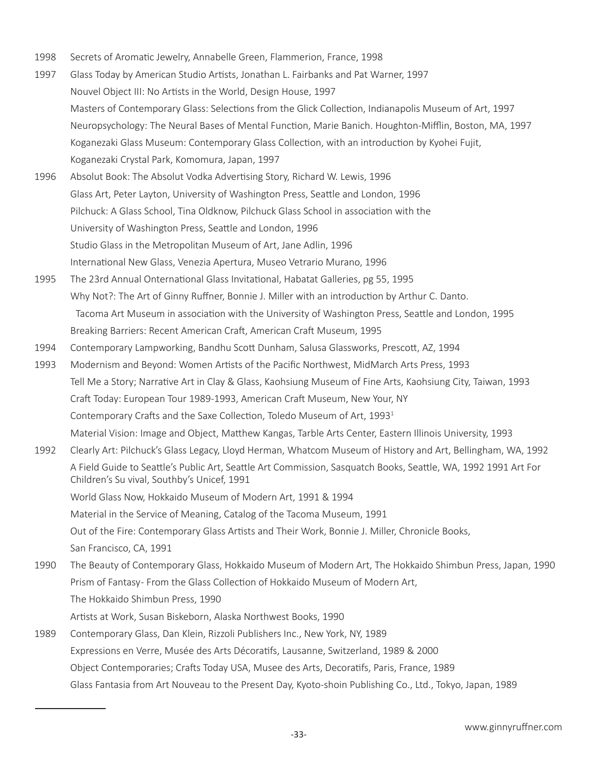- 1998 Secrets of Aromatic Jewelry, Annabelle Green, Flammerion, France, 1998
- 1997 Glass Today by American Studio Artists, Jonathan L. Fairbanks and Pat Warner, 1997 Nouvel Object III: No Artists in the World, Design House, 1997 Masters of Contemporary Glass: Selections from the Glick Collection, Indianapolis Museum of Art, 1997 Neuropsychology: The Neural Bases of Mental Function, Marie Banich. Houghton-Mifflin, Boston, MA, 1997 Koganezaki Glass Museum: Contemporary Glass Collection, with an introduction by Kyohei Fujit, Koganezaki Crystal Park, Komomura, Japan, 1997
- 1996 Absolut Book: The Absolut Vodka Advertising Story, Richard W. Lewis, 1996 Glass Art, Peter Layton, University of Washington Press, Seattle and London, 1996 Pilchuck: A Glass School, Tina Oldknow, Pilchuck Glass School in association with the University of Washington Press, Seattle and London, 1996 Studio Glass in the Metropolitan Museum of Art, Jane Adlin, 1996 International New Glass, Venezia Apertura, Museo Vetrario Murano, 1996
- 1995 The 23rd Annual Onternational Glass Invitational, Habatat Galleries, pg 55, 1995 Why Not?: The Art of Ginny Ruffner, Bonnie J. Miller with an introduction by Arthur C. Danto. Tacoma Art Museum in association with the University of Washington Press, Seattle and London, 1995 Breaking Barriers: Recent American Craft, American Craft Museum, 1995
- 1994 Contemporary Lampworking, Bandhu Scott Dunham, Salusa Glassworks, Prescott, AZ, 1994
- 1993 Modernism and Beyond: Women Artists of the Pacific Northwest, MidMarch Arts Press, 1993 Tell Me a Story; Narrative Art in Clay & Glass, Kaohsiung Museum of Fine Arts, Kaohsiung City, Taiwan, 1993 Craft Today: European Tour 1989-1993, American Craft Museum, New Your, NY Contemporary Crafts and the Saxe Collection, Toledo Museum of Art, 1993<sup>1</sup> Material Vision: Image and Object, Matthew Kangas, Tarble Arts Center, Eastern Illinois University, 1993
- 1992 Clearly Art: Pilchuck's Glass Legacy, Lloyd Herman, Whatcom Museum of History and Art, Bellingham, WA, 1992 A Field Guide to Seattle's Public Art, Seattle Art Commission, Sasquatch Books, Seattle, WA, 1992 1991 Art For Children's Su vival, Southby's Unicef, 1991 World Glass Now, Hokkaido Museum of Modern Art, 1991 & 1994

Material in the Service of Meaning, Catalog of the Tacoma Museum, 1991

Out of the Fire: Contemporary Glass Artists and Their Work, Bonnie J. Miller, Chronicle Books,

San Francisco, CA, 1991

- 1990 The Beauty of Contemporary Glass, Hokkaido Museum of Modern Art, The Hokkaido Shimbun Press, Japan, 1990 Prism of Fantasy- From the Glass Collection of Hokkaido Museum of Modern Art, The Hokkaido Shimbun Press, 1990 Artists at Work, Susan Biskeborn, Alaska Northwest Books, 1990
- 1989 Contemporary Glass, Dan Klein, Rizzoli Publishers Inc., New York, NY, 1989 Expressions en Verre, Musée des Arts Décoratifs, Lausanne, Switzerland, 1989 & 2000 Object Contemporaries; Crafts Today USA, Musee des Arts, Decoratifs, Paris, France, 1989 Glass Fantasia from Art Nouveau to the Present Day, Kyoto-shoin Publishing Co., Ltd., Tokyo, Japan, 1989